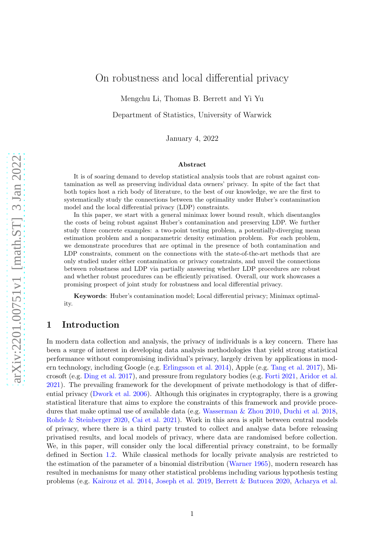# On robustness and local differential privacy

Mengchu Li, Thomas B. Berrett and Yi Yu

Department of Statistics, University of Warwick

January 4, 2022

#### Abstract

It is of soaring demand to develop statistical analysis tools that are robust against contamination as well as preserving individual data owners' privacy. In spite of the fact that both topics host a rich body of literature, to the best of our knowledge, we are the first to systematically study the connections between the optimality under Huber's contamination model and the local differential privacy (LDP) constraints.

In this paper, we start with a general minimax lower bound result, which disentangles the costs of being robust against Huber's contamination and preserving LDP. We further study three concrete examples: a two-point testing problem, a potentially-diverging mean estimation problem and a nonparametric density estimation problem. For each problem, we demonstrate procedures that are optimal in the presence of both contamination and LDP constraints, comment on the connections with the state-of-the-art methods that are only studied under either contamination or privacy constraints, and unveil the connections between robustness and LDP via partially answering whether LDP procedures are robust and whether robust procedures can be efficiently privatised. Overall, our work showcases a promising prospect of joint study for robustness and local differential privacy.

Keywords: Huber's contamination model; Local differential privacy; Minimax optimality.

## <span id="page-0-0"></span>1 Introduction

In modern data collection and analysis, the privacy of individuals is a key concern. There has been a surge of interest in developing data analysis methodologies that yield strong statistical performance without compromising individual's privacy, largely driven by applications in modern technology, including Google (e.g. [Erlingsson et al. 2014](#page-18-0)), Apple (e.g. [Tang et al. 2017](#page-19-0)), Microsoft (e.g. [Ding et al. 2017](#page-18-1)), and pressure from regulatory bodies (e.g. [Forti 2021](#page-18-2), [Aridor et al.](#page-16-0) [2021\)](#page-16-0). The prevailing framework for the development of private methodology is that of differential privacy [\(Dwork et al. 2006](#page-18-3)). Although this originates in cryptography, there is a growing statistical literature that aims to explore the constraints of this framework and provide procedures that make optimal use of available data (e.g. [Wasserman & Zhou 2010](#page-20-0), [Duchi et al. 2018](#page-18-4), [Rohde & Steinberger 2020,](#page-19-1) [Cai et al. 2021\)](#page-17-0). Work in this area is split between central models of privacy, where there is a third party trusted to collect and analyse data before releasing privatised results, and local models of privacy, where data are randomised before collection. We, in this paper, will consider only the local differential privacy constraint, to be formally defined in Section [1.2.](#page-3-0) While classical methods for locally private analysis are restricted to the estimation of the parameter of a binomial distribution [\(Warner 1965](#page-20-1)), modern research has resulted in mechanisms for many other statistical problems including various hypothesis testing problems (e.g. [Kairouz et al. 2014](#page-19-2), [Joseph et al. 2019](#page-19-3), [Berrett & Butucea 2020](#page-17-1), [Acharya et al.](#page-16-1)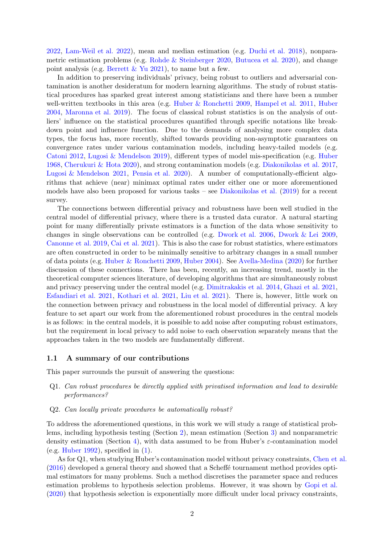[2022,](#page-16-1) [Lam-Weil et al. 2022](#page-19-4)), mean and median estimation (e.g. [Duchi et al. 2018](#page-18-4)), nonparametric estimation problems (e.g. [Rohde & Steinberger 2020,](#page-19-1) [Butucea et al. 2020\)](#page-17-2), and change point analysis (e.g. [Berrett & Yu 2021\)](#page-17-3), to name but a few.

In addition to preserving individuals' privacy, being robust to outliers and adversarial contamination is another desideratum for modern learning algorithms. The study of robust statistical procedures has sparked great interest among statisticians and there have been a number well-written textbooks in this area (e.g. [Huber & Ronchetti 2009](#page-19-5), [Hampel et al. 2011](#page-18-5), [Huber](#page-19-6) [2004,](#page-19-6) [Maronna et al. 2019](#page-19-7)). The focus of classical robust statistics is on the analysis of outliers' influence on the statistical procedures quantified through specific notations like breakdown point and influence function. Due to the demands of analysing more complex data types, the focus has, more recently, shifted towards providing non-asymptotic guarantees on convergence rates under various contamination models, including heavy-tailed models (e.g. [Catoni 2012](#page-17-4), [Lugosi & Mendelson 2019](#page-19-8)), different types of model mis-specification (e.g. [Huber](#page-19-9) [1968,](#page-19-9) [Cherukuri & Hota 2020](#page-17-5)), and strong contamination models (e.g. [Diakonikolas et al. 2017](#page-18-6), [Lugosi & Mendelson 2021](#page-19-10), [Pensia et al. 2020](#page-19-11)). A number of computationally-efficient algorithms that achieve (near) minimax optimal rates under either one or more aforementioned models have also been proposed for various tasks – see [Diakonikolas et al.](#page-18-7) [\(2019](#page-18-7)) for a recent survey.

The connections between differential privacy and robustness have been well studied in the central model of differential privacy, where there is a trusted data curator. A natural starting point for many differentially private estimators is a function of the data whose sensitivity to changes in single observations can be controlled (e.g. [Dwork et al. 2006](#page-18-3), [Dwork & Lei 2009](#page-18-8), [Canonne et al. 2019](#page-17-6), [Cai et al. 2021](#page-17-0)). This is also the case for robust statistics, where estimators are often constructed in order to be minimally sensitive to arbitrary changes in a small number of data points (e.g. [Huber & Ronchetti 2009](#page-19-5), [Huber 2004](#page-19-6)). See [Avella-Medina](#page-17-7) [\(2020](#page-17-7)) for further discussion of these connections. There has been, recently, an increasing trend, mostly in the theoretical computer sciences literature, of developing algorithms that are simultaneously robust and privacy preserving under the central model (e.g. [Dimitrakakis et al. 2014,](#page-18-9) [Ghazi et al. 2021](#page-18-10), [Esfandiari et al. 2021](#page-18-11), [Kothari et al. 2021,](#page-19-12) [Liu et al. 2021](#page-19-13)). There is, however, little work on the connection between privacy and robustness in the local model of differential privacy. A key feature to set apart our work from the aforementioned robust procedures in the central models is as follows: in the central models, it is possible to add noise after computing robust estimators, but the requirement in local privacy to add noise to each observation separately means that the approaches taken in the two models are fundamentally different.

#### <span id="page-1-0"></span>1.1 A summary of our contributions

This paper surrounds the pursuit of answering the questions:

- Q1. Can robust procedures be directly applied with privatised information and lead to desirable performances?
- Q2. Can locally private procedures be automatically robust?

To address the aforementioned questions, in this work we will study a range of statistical problems, including hypothesis testing (Section [2\)](#page-4-0), mean estimation (Section [3\)](#page-7-0) and nonparametric density estimation (Section [4\)](#page-11-0), with data assumed to be from Huber's  $\varepsilon$ -contamination model (e.g. [Huber 1992](#page-19-14)), specified in  $(1)$ .

As for Q1, when studying Huber's contamination model without privacy constraints, [Chen et al.](#page-17-8)  $(2016)$  $(2016)$  developed a general theory and showed that a Scheff $\acute{e}$  tournament method provides optimal estimators for many problems. Such a method discretises the parameter space and reduces estimation problems to hypothesis selection problems. However, it was shown by [Gopi et al.](#page-18-12) [\(2020](#page-18-12)) that hypothesis selection is exponentially more difficult under local privacy constraints,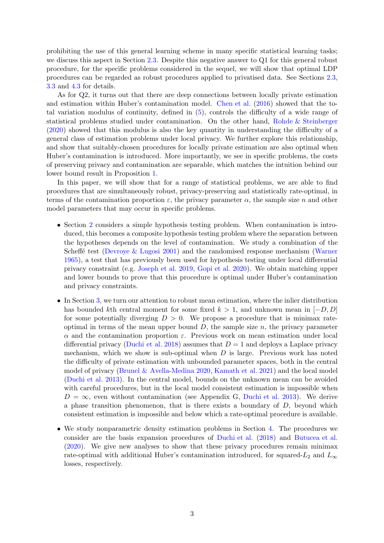prohibiting the use of this general learning scheme in many specific statistical learning tasks; we discuss this aspect in Section [2.3.](#page-6-0) Despite this negative answer to Q1 for this general robust procedure, for the specific problems considered in the sequel, we will show that optimal LDP procedures can be regarded as robust procedures applied to privatised data. See Sections [2.3,](#page-6-0) [3.3](#page-10-0) and [4.3](#page-15-0) for details.

As for Q2, it turns out that there are deep connections between locally private estimation and estimation within Huber's contamination model. [Chen et al.](#page-17-8) [\(2016\)](#page-17-8) showed that the total variation modulus of continuity, defined in [\(5\)](#page-4-1), controls the difficulty of a wide range of statistical problems studied under contamination. On the other hand, [Rohde & Steinberger](#page-19-1) [\(2020](#page-19-1)) showed that this modulus is also the key quantity in understanding the difficulty of a general class of estimation problems under local privacy. We further explore this relationship, and show that suitably-chosen procedures for locally private estimation are also optimal when Huber's contamination is introduced. More importantly, we see in specific problems, the costs of preserving privacy and contamination are separable, which matches the intuition behind our lower bound result in Proposition [1.](#page-4-2)

In this paper, we will show that for a range of statistical problems, we are able to find procedures that are simultaneously robust, privacy-preserving and statistically rate-optimal, in terms of the contamination proportion  $\varepsilon$ , the privacy parameter  $\alpha$ , the sample size n and other model parameters that may occur in specific problems.

- Section [2](#page-4-0) considers a simple hypothesis testing problem. When contamination is introduced, this becomes a composite hypothesis testing problem where the separation between the hypotheses depends on the level of contamination. We study a combination of the Scheff $\acute{\text{e}}$  test (Devroye  $\&$  Lugosi 2001) and the randomised response mechanism [\(Warner](#page-20-1) [1965](#page-20-1)), a test that has previously been used for hypothesis testing under local differential privacy constraint (e.g. [Joseph et al. 2019](#page-19-3), [Gopi et al. 2020](#page-18-12)). We obtain matching upper and lower bounds to prove that this procedure is optimal under Huber's contamination and privacy constraints.
- In Section [3,](#page-7-0) we turn our attention to robust mean estimation, where the inlier distribution has bounded kth central moment for some fixed  $k > 1$ , and unknown mean in  $[-D, D]$ for some potentially diverging  $D > 0$ . We propose a procedure that is minimax rateoptimal in terms of the mean upper bound  $D$ , the sample size  $n$ , the privacy parameter  $\alpha$  and the contamination proportion  $\varepsilon$ . Previous work on mean estimation under local differential privacy [\(Duchi et al. 2018](#page-18-4)) assumes that  $D = 1$  and deploys a Laplace privacy mechanism, which we show is sub-optimal when  $D$  is large. Previous work has noted the difficulty of private estimation with unbounded parameter spaces, both in the central model of privacy [\(Brunel & Avella-Medina 2020](#page-17-10), [Kamath et al. 2021](#page-19-15)) and the local model [\(Duchi et al. 2013](#page-18-13)). In the central model, bounds on the unknown mean can be avoided with careful procedures, but in the local model consistent estimation is impossible when  $D = \infty$ , even without contamination (see Appendix G, [Duchi et al. 2013](#page-18-13)). We derive a phase transition phenomenon, that is there exists a boundary of  $D$ , beyond which consistent estimation is impossible and below which a rate-optimal procedure is available.
- We study nonparametric density estimation problems in Section [4.](#page-11-0) The procedures we consider are the basis expansion procedures of [Duchi et al.](#page-18-4) [\(2018](#page-18-4)) and [Butucea et al.](#page-17-2) [\(2020](#page-17-2)). We give new analyses to show that these privacy procedures remain minimax rate-optimal with additional Huber's contamination introduced, for squared- $L_2$  and  $L_{\infty}$ losses, respectively.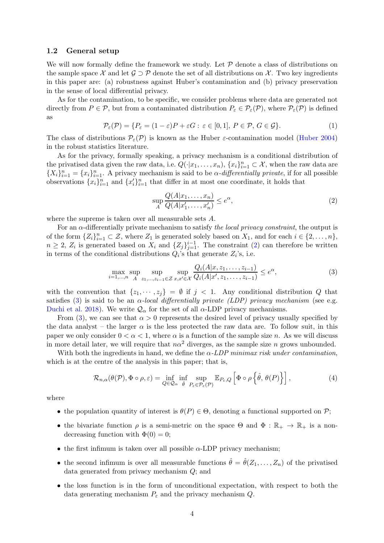#### <span id="page-3-0"></span>1.2 General setup

We will now formally define the framework we study. Let  $P$  denote a class of distributions on the sample space X and let  $\mathcal{G} \supset \mathcal{P}$  denote the set of all distributions on X. Two key ingredients in this paper are: (a) robustness against Huber's contamination and (b) privacy preservation in the sense of local differential privacy.

As for the contamination, to be specific, we consider problems where data are generated not directly from  $P \in \mathcal{P}$ , but from a contaminated distribution  $P_{\varepsilon} \in \mathcal{P}_{\varepsilon}(\mathcal{P})$ , where  $\mathcal{P}_{\varepsilon}(\mathcal{P})$  is defined as

<span id="page-3-1"></span>
$$
\mathcal{P}_{\varepsilon}(\mathcal{P}) = \{ P_{\varepsilon} = (1 - \varepsilon)P + \varepsilon G : \varepsilon \in [0, 1], P \in \mathcal{P}, G \in \mathcal{G} \}. \tag{1}
$$

The class of distributions  $P_{\varepsilon}(\mathcal{P})$  is known as the Huber  $\varepsilon$ -contamination model [\(Huber 2004](#page-19-6)) in the robust statistics literature.

As for the privacy, formally speaking, a privacy mechanism is a conditional distribution of the privatised data given the raw data, i.e.  $Q(\cdot|x_1,\ldots,x_n)$ ,  $\{x_i\}_{i=1}^n \subset \mathcal{X}$ , when the raw data are  ${X_i}_{i=1}^n = {x_i}_{i=1}^n$ . A privacy mechanism is said to be  $\alpha$ -differentially private, if for all possible observations  $\{x_i\}_{i=1}^n$  and  $\{x_i'\}_{i=1}^n$  that differ in at most one coordinate, it holds that

<span id="page-3-2"></span>
$$
\sup_{A} \frac{Q(A|x_1,\ldots,x_n)}{Q(A|x'_1,\ldots,x'_n)} \le e^{\alpha},\tag{2}
$$

where the supreme is taken over all measurable sets A.

For an  $\alpha$ -differentially private mechanism to satisfy the local privacy constraint, the output is of the form  $\{Z_i\}_{i=1}^n \subset \mathcal{Z}$ , where  $Z_1$  is generated solely based on  $X_1$ , and for each  $i \in \{2, \ldots, n\}$ ,  $n \geq 2$ ,  $Z_i$  is generated based on  $X_i$  and  $\{Z_j\}_{j=1}^{i-1}$ . The constraint [\(2\)](#page-3-2) can therefore be written in terms of the conditional distributions  $Q_i$ 's that generate  $Z_i$ 's, i.e.

<span id="page-3-3"></span>
$$
\max_{i=1,\dots,n} \sup_{A} \sup_{z_1,\dots,z_{i-1} \in \mathcal{Z}} \sup_{x,x' \in \mathcal{X}} \frac{Q_i(A|x,z_1,\dots,z_{i-1})}{Q_i(A|x',z_1,\dots,z_{i-1})} \le e^{\alpha},\tag{3}
$$

with the convention that  $\{z_1, \dots, z_j\} = \emptyset$  if  $j < 1$ . Any conditional distribution Q that satisfies [\(3\)](#page-3-3) is said to be an  $\alpha$ -local differentially private (LDP) privacy mechanism (see e.g. [Duchi et al. 2018](#page-18-4)). We write  $\mathcal{Q}_{\alpha}$  for the set of all  $\alpha$ -LDP privacy mechanisms.

From [\(3\)](#page-3-3), we can see that  $\alpha > 0$  represents the desired level of privacy usually specified by the data analyst – the larger  $\alpha$  is the less protected the raw data are. To follow suit, in this paper we only consider  $0 < \alpha < 1$ , where  $\alpha$  is a function of the sample size n. As we will discuss in more detail later, we will require that  $n\alpha^2$  diverges, as the sample size n grows unbounded.

With both the ingredients in hand, we define the  $\alpha$ -LDP minimax risk under contamination, which is at the centre of the analysis in this paper; that is,

<span id="page-3-4"></span>
$$
\mathcal{R}_{n,\alpha}(\theta(\mathcal{P}),\Phi \circ \rho,\varepsilon) = \inf_{Q \in \mathcal{Q}_{\alpha}} \inf_{\hat{\theta}} \sup_{P_{\varepsilon} \in \mathcal{P}_{\varepsilon}(\mathcal{P})} \mathbb{E}_{P_{\varepsilon},Q} \left[ \Phi \circ \rho \left\{ \hat{\theta}, \theta(P) \right\} \right],\tag{4}
$$

where

- the population quantity of interest is  $\theta(P) \in \Theta$ , denoting a functional supported on  $\mathcal{P}$ ;
- the bivariate function  $\rho$  is a semi-metric on the space  $\Theta$  and  $\Phi : \mathbb{R}_+ \to \mathbb{R}_+$  is a nondecreasing function with  $\Phi(0) = 0$ ;
- the first infimum is taken over all possible  $\alpha$ -LDP privacy mechanism:
- the second infimum is over all measurable functions  $\hat{\theta} = \hat{\theta}(Z_1, \ldots, Z_n)$  of the privatised data generated from privacy mechanism Q; and
- the loss function is in the form of unconditional expectation, with respect to both the data generating mechanism  $P_{\varepsilon}$  and the privacy mechanism Q.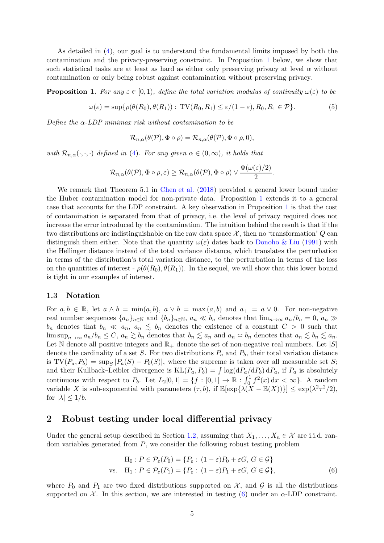As detailed in [\(4\)](#page-3-4), our goal is to understand the fundamental limits imposed by both the contamination and the privacy-preserving constraint. In Proposition [1](#page-4-2) below, we show that such statistical tasks are at least as hard as either only preserving privacy at level  $\alpha$  without contamination or only being robust against contamination without preserving privacy.

<span id="page-4-2"></span>**Proposition 1.** For any  $\varepsilon \in [0,1)$ , define the total variation modulus of continuity  $\omega(\varepsilon)$  to be

<span id="page-4-1"></span>
$$
\omega(\varepsilon) = \sup \{ \rho(\theta(R_0), \theta(R_1)) : \operatorname{TV}(R_0, R_1) \le \varepsilon/(1-\varepsilon), R_0, R_1 \in \mathcal{P} \}. \tag{5}
$$

Define the  $\alpha$ -LDP minimax risk without contamination to be

$$
\mathcal{R}_{n,\alpha}(\theta(\mathcal{P}),\Phi\circ\rho)=\mathcal{R}_{n,\alpha}(\theta(\mathcal{P}),\Phi\circ\rho,0),
$$

with  $\mathcal{R}_{n,\alpha}(\cdot,\cdot,\cdot)$  defined in [\(4\)](#page-3-4). For any given  $\alpha \in (0,\infty)$ , it holds that

$$
\mathcal{R}_{n,\alpha}(\theta(\mathcal{P}),\Phi\circ\rho,\varepsilon)\geq\mathcal{R}_{n,\alpha}(\theta(\mathcal{P}),\Phi\circ\rho)\vee\frac{\Phi(\omega(\varepsilon)/2)}{2}.
$$

We remark that Theorem 5.1 in [Chen et al.](#page-17-11) [\(2018](#page-17-11)) provided a general lower bound under the Huber contamination model for non-private data. Proposition [1](#page-4-2) extends it to a general case that accounts for the LDP constraint. A key observation in Proposition [1](#page-4-2) is that the cost of contamination is separated from that of privacy, i.e. the level of privacy required does not increase the error introduced by the contamination. The intuition behind the result is that if the two distributions are indistinguishable on the raw data space  $\mathcal{X}$ , then no 'transformation'  $Q$  can distinguish them either. Note that the quantity  $\omega(\varepsilon)$  dates back to [Donoho & Liu](#page-18-14) [\(1991](#page-18-14)) with the Hellinger distance instead of the total variance distance, which translates the perturbation in terms of the distribution's total variation distance, to the perturbation in terms of the loss on the quantities of interest -  $\rho(\theta(R_0), \theta(R_1))$ . In the sequel, we will show that this lower bound is tight in our examples of interest.

### 1.3 Notation

For  $a, b \in \mathbb{R}$ , let  $a \wedge b = \min(a, b)$ ,  $a \vee b = \max(a, b)$  and  $a_+ = a \vee 0$ . For non-negative real number sequences  $\{a_n\}_{n\in\mathbb{N}}$  and  $\{b_n\}_{n\in\mathbb{N}}$ ,  $a_n \ll b_n$  denotes that  $\lim_{n\to\infty} a_n/b_n = 0$ ,  $a_n \gg$  $b_n$  denotes that  $b_n \ll a_n$ ,  $a_n \lesssim b_n$  denotes the existence of a constant  $C > 0$  such that  $\limsup_{n\to\infty} a_n/b_n \leq C, a_n \gtrsim b_n$  denotes that  $b_n \lesssim a_n$  and  $a_n \lesssim b_n$  denotes that  $a_n \lesssim b_n \lesssim a_n$ . Let N denote all positive integers and  $\mathbb{R}_+$  denote the set of non-negative real numbers. Let  $|S|$ denote the cardinality of a set S. For two distributions  $P_a$  and  $P_b$ , their total variation distance is  $TV(P_a, P_b) = \sup_S |P_a(S) - P_b(S)|$ , where the supreme is taken over all measurable set S; and their Kullback–Leibler divergence is  $KL(P_a, P_b) = \int \log(dP_a/dP_b) dP_a$ , if  $P_a$  is absolutely continuous with respect to  $P_b$ . Let  $L_2[0,1] = \{f : [0,1] \to \mathbb{R} : \int_0^1 f^2(x) dx < \infty\}$ . A random variable X is sub-exponential with parameters  $(\tau, b)$ , if  $\mathbb{E}[\exp{\{\lambda(X - \mathbb{E}(X))\}}] \leq \exp(\lambda^2 \tau^2/2)$ , for  $|\lambda| \leq 1/b$ .

### <span id="page-4-0"></span>2 Robust testing under local differential privacy

Under the general setup described in Section [1.2,](#page-3-0) assuming that  $X_1, \ldots, X_n \in \mathcal{X}$  are i.i.d. random variables generated from  $P$ , we consider the following robust testing problem

<span id="page-4-3"></span>
$$
\begin{aligned} \mathcal{H}_0: P \in \mathcal{P}_{\varepsilon}(P_0) &= \{ P_{\varepsilon} : (1 - \varepsilon)P_0 + \varepsilon G, G \in \mathcal{G} \} \\ \text{vs.} \quad \mathcal{H}_1: P \in \mathcal{P}_{\varepsilon}(P_1) &= \{ P_{\varepsilon} : (1 - \varepsilon)P_1 + \varepsilon G, G \in \mathcal{G} \}, \end{aligned} \tag{6}
$$

where  $P_0$  and  $P_1$  are two fixed distributions supported on  $\mathcal{X}$ , and  $\mathcal{G}$  is all the distributions supported on  $\mathcal{X}$ . In this section, we are interested in testing [\(6\)](#page-4-3) under an  $\alpha$ -LDP constraint.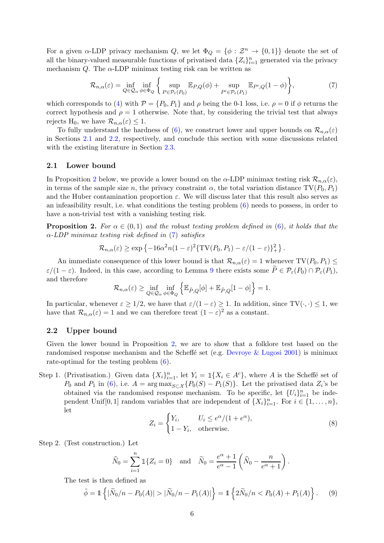For a given  $\alpha$ -LDP privacy mechanism Q, we let  $\Phi_Q = {\phi : \mathcal{Z}^n \to \{0,1\}}$  denote the set of all the binary-valued measurable functions of privatised data  $\{Z_i\}_{i=1}^n$  generated via the privacy mechanism  $Q$ . The  $\alpha$ -LDP minimax testing risk can be written as

<span id="page-5-3"></span>
$$
\mathcal{R}_{n,\alpha}(\varepsilon) = \inf_{Q \in \mathcal{Q}_{\alpha}} \inf_{\phi \in \Phi_Q} \left\{ \sup_{P \in \mathcal{P}_{\varepsilon}(P_0)} \mathbb{E}_{P,Q}(\phi) + \sup_{P' \in \mathcal{P}_{\varepsilon}(P_1)} \mathbb{E}_{P',Q}(1-\phi) \right\},\tag{7}
$$

which corresponds to [\(4\)](#page-3-4) with  $\mathcal{P} = \{P_0, P_1\}$  and  $\rho$  being the 0-1 loss, i.e.  $\rho = 0$  if  $\phi$  returns the correct hypothesis and  $\rho = 1$  otherwise. Note that, by considering the trivial test that always rejects H<sub>0</sub>, we have  $\mathcal{R}_{n,\alpha}(\varepsilon) \leq 1$ .

To fully understand the hardness of [\(6\)](#page-4-3), we construct lower and upper bounds on  $\mathcal{R}_{n,\alpha}(\varepsilon)$ in Sections [2.1](#page-5-0) and [2.2,](#page-5-1) respectively, and conclude this section with some discussions related with the existing literature in Section [2.3.](#page-6-0)

#### <span id="page-5-0"></span>2.1 Lower bound

In Proposition [2](#page-5-2) below, we provide a lower bound on the  $\alpha$ -LDP minimax testing risk  $\mathcal{R}_{n,\alpha}(\varepsilon)$ , in terms of the sample size n, the privacy constraint  $\alpha$ , the total variation distance TV $(P_0, P_1)$ and the Huber contamination proportion  $\varepsilon$ . We will discuss later that this result also serves as an infeasibility result, i.e. what conditions the testing problem [\(6\)](#page-4-3) needs to possess, in order to have a non-trivial test with a vanishing testing risk.

<span id="page-5-2"></span>**Proposition 2.** For  $\alpha \in (0,1)$  and the robust testing problem defined in [\(6\)](#page-4-3), it holds that the  $\alpha$ -LDP minimax testing risk defined in [\(7\)](#page-5-3) satisfies

$$
\mathcal{R}_{n,\alpha}(\varepsilon) \ge \exp\left\{-16\alpha^2 n(1-\varepsilon)^2 \{TV(P_0,P_1) - \varepsilon/(1-\varepsilon)\}^2_+\right\}.
$$

An immediate consequence of this lower bound is that  $\mathcal{R}_{n,\alpha}(\varepsilon) = 1$  whenever  $TV(P_0, P_1) \leq$  $\varepsilon/(1-\varepsilon)$ . Indeed, in this case, according to Lemma [9](#page-20-2) there exists some  $\widetilde{P} \in \mathcal{P}_{\varepsilon}(P_0) \cap \mathcal{P}_{\varepsilon}(P_1)$ , and therefore

$$
\mathcal{R}_{n,\alpha}(\varepsilon) \ge \inf_{Q \in \mathcal{Q}_{\alpha}} \inf_{\phi \in \Phi_Q} \left\{ \mathbb{E}_{\tilde{P},Q}[\phi] + \mathbb{E}_{\tilde{P},Q}[1-\phi] \right\} = 1.
$$

In particular, whenever  $\varepsilon \geq 1/2$ , we have that  $\varepsilon/(1-\varepsilon) \geq 1$ . In addition, since TV( $\cdot, \cdot$ )  $\leq 1$ , we have that  $\mathcal{R}_{n,\alpha}(\varepsilon) = 1$  and we can therefore treat  $(1 - \varepsilon)^2$  as a constant.

#### <span id="page-5-1"></span>2.2 Upper bound

Given the lower bound in Proposition [2,](#page-5-2) we are to show that a folklore test based on the randomised response mechanism and the Scheffe set (e.g. [Devroye & Lugosi 2001](#page-17-9)) is minimax rate-optimal for the testing problem [\(6\)](#page-4-3).

Step 1. (Privatisation.) Given data  $\{X_i\}_{i=1}^n$ , let  $Y_i = \mathbb{1}\{X_i \in A^c\}$ , where A is the Scheffé set of  $P_0$  and  $P_1$  in [\(6\)](#page-4-3), i.e.  $A = \arg \max_{S \subset \mathcal{X}} \{P_0(S) - P_1(S)\}$ . Let the privatised data  $Z_i$ 's be obtained via the randomised response mechanism. To be specific, let  $\{U_i\}_{i=1}^n$  be independent Unif [0, 1] random variables that are independent of  $\{X_i\}_{i=1}^n$ . For  $i \in \{1, \ldots, n\}$ , let

<span id="page-5-4"></span>
$$
Z_i = \begin{cases} Y_i, & U_i \le e^{\alpha}/(1+e^{\alpha}), \\ 1-Y_i, & \text{otherwise.} \end{cases}
$$
 (8)

Step 2. (Test construction.) Let

$$
\widehat{N}_0 = \sum_{i=1}^n \mathbb{1}\{Z_i = 0\} \quad \text{and} \quad \widetilde{N}_0 = \frac{e^{\alpha} + 1}{e^{\alpha} - 1} \left( \widehat{N}_0 - \frac{n}{e^{\alpha} + 1} \right).
$$

The test is then defined as

<span id="page-5-5"></span>
$$
\tilde{\phi} = \mathbb{1}\left\{ |\tilde{N}_0/n - P_0(A)| > |\tilde{N}_0/n - P_1(A)| \right\} = \mathbb{1}\left\{ 2\tilde{N}_0/n < P_0(A) + P_1(A) \right\}.\tag{9}
$$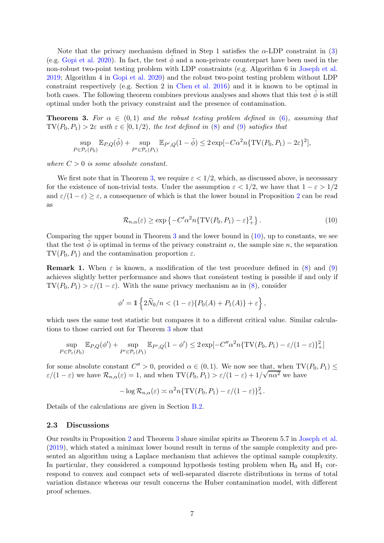Note that the privacy mechanism defined in Step 1 satisfies the  $\alpha$ -LDP constraint in [\(3\)](#page-3-3) (e.g. [Gopi et al. 2020](#page-18-12)). In fact, the test  $\phi$  and a non-private counterpart have been used in the non-robust two-point testing problem with LDP constraints (e.g. Algorithm 6 in [Joseph et al.](#page-19-3) [2019;](#page-19-3) Algorithm 4 in [Gopi et al. 2020](#page-18-12)) and the robust two-point testing problem without LDP constraint respectively (e.g. Section 2 in [Chen et al. 2016](#page-17-8)) and it is known to be optimal in both cases. The following theorem combines previous analyses and shows that this test  $\phi$  is still optimal under both the privacy constraint and the presence of contamination.

<span id="page-6-1"></span>**Theorem 3.** For  $\alpha \in (0,1)$  and the robust testing problem defined in [\(6\)](#page-4-3), assuming that  $TV(P_0, P_1) > 2\varepsilon$  with  $\varepsilon \in [0, 1/2)$ , the test defined in [\(8\)](#page-5-4) and [\(9\)](#page-5-5) satisfies that

$$
\sup_{P \in \mathcal{P}_{\varepsilon}(P_0)} \mathbb{E}_{P,Q}(\tilde{\phi}) + \sup_{P' \in \mathcal{P}_{\varepsilon}(P_1)} \mathbb{E}_{P',Q}(1-\tilde{\phi}) \le 2 \exp[-C\alpha^2 n \{TV(P_0, P_1) - 2\varepsilon\}^2],
$$

where  $C > 0$  is some absolute constant.

We first note that in Theorem [3,](#page-6-1) we require  $\varepsilon < 1/2$ , which, as discussed above, is necessary for the existence of non-trivial tests. Under the assumption  $\varepsilon < 1/2$ , we have that  $1 - \varepsilon > 1/2$ and  $\varepsilon/(1-\varepsilon) \geq \varepsilon$ , a consequence of which is that the lower bound in Proposition [2](#page-5-2) can be read as

<span id="page-6-2"></span>
$$
\mathcal{R}_{n,\alpha}(\varepsilon) \ge \exp\left\{-C'\alpha^2 n \{\text{TV}(P_0, P_1) - \varepsilon\}_+^2\right\}.
$$
\n(10)

Comparing the upper bound in Theorem [3](#page-6-1) and the lower bound in [\(10\)](#page-6-2), up to constants, we see that the test  $\phi$  is optimal in terms of the privacy constraint  $\alpha$ , the sample size n, the separation  $TV(P_0, P_1)$  and the contamination proportion  $\varepsilon$ .

<span id="page-6-3"></span>**Remark 1.** When  $\varepsilon$  is known, a modification of the test procedure defined in [\(8\)](#page-5-4) and [\(9\)](#page-5-5) achieves slightly better performance and shows that consistent testing is possible if and only if  $TV(P_0, P_1) > \varepsilon/(1-\varepsilon)$ . With the same privacy mechanism as in [\(8\)](#page-5-4), consider

$$
\phi' = \mathbb{1}\left\{2\widetilde{N}_0/n < (1-\varepsilon)\{P_0(A) + P_1(A)\} + \varepsilon\right\},\,
$$

which uses the same test statistic but compares it to a different critical value. Similar calculations to those carried out for Theorem [3](#page-6-1) show that

$$
\sup_{P \in \mathcal{P}_{\varepsilon}(P_0)} \mathbb{E}_{P,Q}(\phi') + \sup_{P' \in \mathcal{P}_{\varepsilon}(P_1)} \mathbb{E}_{P',Q}(1-\phi') \le 2 \exp[-C''\alpha^2 n \{TV(P_0, P_1) - \varepsilon/(1-\varepsilon)\}_+^2]
$$

for some absolute constant  $C'' > 0$ , provided  $\alpha \in (0,1)$ . We now see that, when  $TV(P_0, P_1) \le$  $\varepsilon/(1-\varepsilon)$  we have  $\mathcal{R}_{n,\alpha}(\varepsilon) = 1$ , and when  $\text{TV}(P_0, P_1) > \varepsilon/(1-\varepsilon) + 1/\sqrt{n\alpha^2}$  we have

$$
-\log \mathcal{R}_{n,\alpha}(\varepsilon) \asymp \alpha^2 n \{ \mathrm{TV}(P_0,P_1) - \varepsilon/(1-\varepsilon) \}_+^2.
$$

Details of the calculations are given in Section [B.2.](#page-22-0)

#### <span id="page-6-0"></span>2.3 Discussions

Our results in Proposition [2](#page-5-2) and Theorem [3](#page-6-1) share similar spirits as Theorem 5.7 in [Joseph et al.](#page-19-3) [\(2019](#page-19-3)), which stated a minimax lower bound result in terms of the sample complexity and presented an algorithm using a Laplace mechanism that achieves the optimal sample complexity. In particular, they considered a compound hypothesis testing problem when  $H_0$  and  $H_1$  correspond to convex and compact sets of well-separated discrete distributions in terms of total variation distance whereas our result concerns the Huber contamination model, with different proof schemes.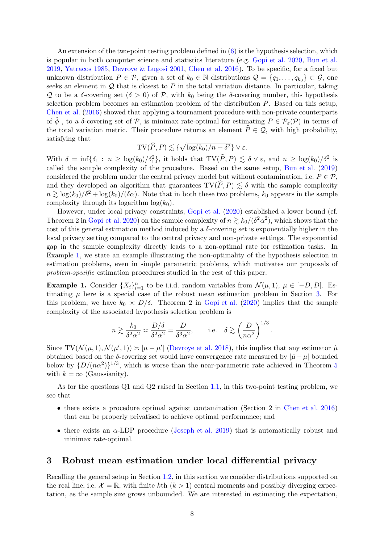An extension of the two-point testing problem defined in  $(6)$  is the hypothesis selection, which is popular in both computer science and statistics literature (e.g. [Gopi et al. 2020](#page-18-12), [Bun et al.](#page-17-12) [2019,](#page-17-12) [Yatracos 1985](#page-20-3), [Devroye & Lugosi 2001](#page-17-9), [Chen et al. 2016](#page-17-8)). To be specific, for a fixed but unknown distribution  $P \in \mathcal{P}$ , given a set of  $k_0 \in \mathbb{N}$  distributions  $\mathcal{Q} = \{q_1, \ldots, q_{k_0}\} \subset \mathcal{G}$ , one seeks an element in  $\mathcal Q$  that is closest to P in the total variation distance. In particular, taking Q to be a δ-covering set  $(δ > 0)$  of P, with  $k_0$  being the δ-covering number, this hypothesis selection problem becomes an estimation problem of the distribution P. Based on this setup, [Chen et al.](#page-17-8) [\(2016](#page-17-8)) showed that applying a tournament procedure with non-private counterparts of  $\tilde{\phi}$ , to a  $\delta$ -covering set of P, is minimax rate-optimal for estimating  $P \in \mathcal{P}_{\varepsilon}(\mathcal{P})$  in terms of the total variation metric. Their procedure returns an element  $\hat{P} \in \mathcal{Q}$ , with high probability, satisfying that

$$
TV(\widehat{P}, P) \lesssim \{ \sqrt{\log(k_0)/n + \delta^2} \} \vee \varepsilon.
$$

With  $\delta = \inf \{ \delta_1 : n \ge \log(k_0) / \delta_1^2 \}$ , it holds that  $TV(P, P) \lesssim \delta \vee \varepsilon$ , and  $n \ge \log(k_0) / \delta^2$  is called the sample complexity of the procedure. Based on the same setup, [Bun et al.](#page-17-12) [\(2019](#page-17-12)) considered the problem under the central privacy model but without contamination, i.e.  $P \in \mathcal{P}$ , and they developed an algorithm that guarantees  $TV(P, P) \leq \delta$  with the sample complexity  $n \geq \log(k_0)/\delta^2 + \log(k_0)/(\delta \alpha)$ . Note that in both these two problems,  $k_0$  appears in the sample complexity through its logarithm  $log(k_0)$ .

However, under local privacy constraints, [Gopi et al.](#page-18-12) [\(2020](#page-18-12)) established a lower bound (cf. Theorem 2 in [Gopi et al. 2020](#page-18-12)) on the sample complexity of  $n \gtrsim k_0/(\delta^2 \alpha^2)$ , which shows that the cost of this general estimation method induced by a  $\delta$ -covering set is exponentially higher in the local privacy setting compared to the central privacy and non-private settings. The exponential gap in the sample complexity directly leads to a non-optimal rate for estimation tasks. In Example [1,](#page-7-1) we state an example illustrating the non-optimality of the hypothesis selection in estimation problems, even in simple parametric problems, which motivates our proposals of problem-specific estimation procedures studied in the rest of this paper.

<span id="page-7-1"></span>**Example 1.** Consider  $\{X_i\}_{i=1}^n$  to be i.i.d. random variables from  $\mathcal{N}(\mu, 1)$ ,  $\mu \in [-D, D]$ . Estimating  $\mu$  here is a special case of the robust mean estimation problem in Section [3.](#page-7-0) For this problem, we have  $k_0 \approx D/\delta$ . Theorem 2 in [Gopi et al.](#page-18-12) [\(2020](#page-18-12)) implies that the sample complexity of the associated hypothesis selection problem is

$$
n \gtrsim \frac{k_0}{\delta^2 \alpha^2} \gtrsim \frac{D/\delta}{\delta^2 \alpha^2} = \frac{D}{\delta^3 \alpha^2}
$$
, i.e.  $\delta \gtrsim \left(\frac{D}{n \alpha^2}\right)^{1/3}$ 

.

Since  $TV(N(\mu, 1), N(\mu', 1)) \approx |\mu - \mu'|$  [\(Devroye et al. 2018](#page-17-13)), this implies that any estimator  $\hat{\mu}$ obtained based on the δ-covering set would have convergence rate measured by  $|\hat{u} - \mu|$  bounded below by  $\{D/(\hat{n}\alpha^2)\}^{1/3}$ , which is worse than the near-parametric rate achieved in Theorem [5](#page-9-0) with  $k = \infty$  (Gaussianity).

As for the questions Q1 and Q2 raised in Section [1.1,](#page-1-0) in this two-point testing problem, we see that

- there exists a procedure optimal against contamination (Section 2 in [Chen et al. 2016](#page-17-8)) that can be properly privatised to achieve optimal performance; and
- there exists an  $\alpha$ -LDP procedure [\(Joseph et al. 2019](#page-19-3)) that is automatically robust and minimax rate-optimal.

## <span id="page-7-0"></span>3 Robust mean estimation under local differential privacy

Recalling the general setup in Section [1.2,](#page-3-0) in this section we consider distributions supported on the real line, i.e.  $\mathcal{X} = \mathbb{R}$ , with finite kth  $(k > 1)$  central moments and possibly diverging expectation, as the sample size grows unbounded. We are interested in estimating the expectation,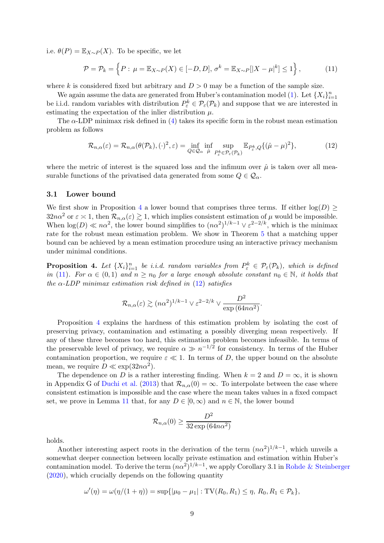i.e.  $\theta(P) = \mathbb{E}_{X \sim P}(X)$ . To be specific, we let

<span id="page-8-1"></span>
$$
\mathcal{P} = \mathcal{P}_k = \left\{ P : \mu = \mathbb{E}_{X \sim P}(X) \in [-D, D], \sigma^k = \mathbb{E}_{X \sim P}[|X - \mu|^k] \le 1 \right\},\tag{11}
$$

where k is considered fixed but arbitrary and  $D > 0$  may be a function of the sample size.

We again assume the data are generated from Huber's contamination model [\(1\)](#page-3-1). Let  $\{X_i\}_{i=1}^n$ be i.i.d. random variables with distribution  $P_{\varepsilon}^{k} \in \mathcal{P}_{\varepsilon}(\mathcal{P}_{k})$  and suppose that we are interested in estimating the expectation of the inlier distribution  $\mu$ .

The  $\alpha$ -LDP minimax risk defined in [\(4\)](#page-3-4) takes its specific form in the robust mean estimation problem as follows

<span id="page-8-2"></span>
$$
\mathcal{R}_{n,\alpha}(\varepsilon) = \mathcal{R}_{n,\alpha}(\theta(\mathcal{P}_k), (\cdot)^2, \varepsilon) = \inf_{Q \in \mathcal{Q}_\alpha} \inf_{\hat{\mu}} \sup_{P^k_{\varepsilon} \in \mathcal{P}_{\varepsilon}(\mathcal{P}_k)} \mathbb{E}_{P^k_{\varepsilon},Q} \{ (\hat{\mu} - \mu)^2 \},
$$
(12)

where the metric of interest is the squared loss and the infimum over  $\hat{\mu}$  is taken over all measurable functions of the privatised data generated from some  $Q \in \mathcal{Q}_{\alpha}$ .

### 3.1 Lower bound

We first show in Proposition [4](#page-8-0) a lower bound that comprises three terms. If either  $log(D) \ge$  $32n\alpha^2$  or  $\varepsilon \leq 1$ , then  $\mathcal{R}_{n,\alpha}(\varepsilon) \gtrsim 1$ , which implies consistent estimation of  $\mu$  would be impossible. When  $\log(D) \ll n\alpha^2$ , the lower bound simplifies to  $(n\alpha^2)^{1/k-1} \vee \varepsilon^{2-2/k}$ , which is the minimax rate for the robust mean estimation problem. We show in Theorem [5](#page-9-0) that a matching upper bound can be achieved by a mean estimation procedure using an interactive privacy mechanism under minimal conditions.

<span id="page-8-0"></span>**Proposition 4.** Let  $\{X_i\}_{i=1}^n$  be i.i.d. random variables from  $P_{\varepsilon}^k \in \mathcal{P}_{\varepsilon}(\mathcal{P}_k)$ , which is defined in [\(11\)](#page-8-1). For  $\alpha \in (0,1)$  and  $n \geq n_0$  for a large enough absolute constant  $n_0 \in \mathbb{N}$ , it holds that the  $\alpha$ -LDP minimax estimation risk defined in [\(12\)](#page-8-2) satisfies

$$
\mathcal{R}_{n,\alpha}(\varepsilon) \gtrsim (n\alpha^2)^{1/k-1} \vee \varepsilon^{2-2/k} \vee \frac{D^2}{\exp{(64n\alpha^2)}}.
$$

Proposition [4](#page-8-0) explains the hardness of this estimation problem by isolating the cost of preserving privacy, contamination and estimating a possibly diverging mean respectively. If any of these three becomes too hard, this estimation problem becomes infeasible. In terms of the preservable level of privacy, we require  $\alpha \gg n^{-1/2}$  for consistency. In terms of the Huber contamination proportion, we require  $\varepsilon \ll 1$ . In terms of D, the upper bound on the absolute mean, we require  $D \ll \exp(32n\alpha^2)$ .

The dependence on D is a rather interesting finding. When  $k = 2$  and  $D = \infty$ , it is shown in Appendix G of [Duchi et al.](#page-18-13) [\(2013](#page-18-13)) that  $\mathcal{R}_{n,\alpha}(0) = \infty$ . To interpolate between the case where consistent estimation is impossible and the case where the mean takes values in a fixed compact set, we prove in Lemma [11](#page-24-0) that, for any  $D \in [0,\infty)$  and  $n \in \mathbb{N}$ , the lower bound

$$
\mathcal{R}_{n,\alpha}(0) \ge \frac{D^2}{32\exp{(64n\alpha^2)}}
$$

holds.

Another interesting aspect roots in the derivation of the term  $(n\alpha^2)^{1/k-1}$ , which unveils a somewhat deeper connection between locally private estimation and estimation within Huber's contamination model. To derive the term  $(n\alpha^2)^{1/k-1}$ , we apply Corollary 3.1 in [Rohde & Steinberger](#page-19-1) [\(2020](#page-19-1)), which crucially depends on the following quantity

$$
\omega'(\eta) = \omega(\eta/(1+\eta)) = \sup\{|\mu_0 - \mu_1| : TV(R_0, R_1) \leq \eta, R_0, R_1 \in \mathcal{P}_k\},\
$$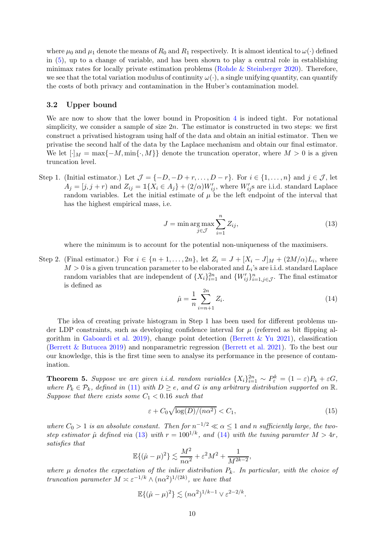where  $\mu_0$  and  $\mu_1$  denote the means of  $R_0$  and  $R_1$  respectively. It is almost identical to  $\omega(\cdot)$  defined in [\(5\)](#page-4-1), up to a change of variable, and has been shown to play a central role in establishing minimax rates for locally private estimation problems [\(Rohde & Steinberger 2020](#page-19-1)). Therefore, we see that the total variation modulus of continuity  $\omega(\cdot)$ , a single unifying quantity, can quantify the costs of both privacy and contamination in the Huber's contamination model.

### 3.2 Upper bound

We are now to show that the lower bound in Proposition [4](#page-8-0) is indeed tight. For notational simplicity, we consider a sample of size  $2n$ . The estimator is constructed in two steps: we first construct a privatised histogram using half of the data and obtain an initial estimator. Then we privatise the second half of the data by the Laplace mechanism and obtain our final estimator. We let  $\lceil \cdot \rceil_M = \max\{-M, \min\{\cdot, M\}\}\$  denote the truncation operator, where  $M > 0$  is a given truncation level.

Step 1. (Initial estimator.) Let  $\mathcal{J} = \{-D, -D + r, \ldots, D - r\}$ . For  $i \in \{1, \ldots, n\}$  and  $j \in \mathcal{J}$ , let  $A_j = [j, j + r)$  and  $Z_{ij} = \mathbb{1}\{X_i \in A_j\} + (2/\alpha)W'_{ij}$ , where  $W'_{ij}$ s are i.i.d. standard Laplace random variables. Let the initial estimate of  $\mu$  be the left endpoint of the interval that has the highest empirical mass, i.e.

<span id="page-9-1"></span>
$$
J = \min \underset{j \in \mathcal{J}}{\arg \max} \sum_{i=1}^{n} Z_{ij},\tag{13}
$$

where the minimum is to account for the potential non-uniqueness of the maximisers.

Step 2. (Final estimator.) For  $i \in \{n+1,\ldots,2n\}$ , let  $Z_i = J + [X_i - J]_M + (2M/\alpha)L_i$ , where  $M > 0$  is a given truncation parameter to be elaborated and  $L_i$ 's are i.i.d. standard Laplace random variables that are independent of  $\{X_i\}_{i=1}^{2n}$  and  $\{W'_{ij}\}_{i=1,j\in\mathcal{J}}^n$ . The final estimator is defined as

<span id="page-9-2"></span>
$$
\hat{\mu} = \frac{1}{n} \sum_{i=n+1}^{2n} Z_i.
$$
\n(14)

The idea of creating private histogram in Step 1 has been used for different problems under LDP constraints, such as developing confidence interval for  $\mu$  (referred as bit flipping al-gorithm in [Gaboardi et al. 2019\)](#page-18-15), change point detection (Berrett  $&\text{Yu }2021$ ), classification [\(Berrett & Butucea 2019](#page-17-14)) and nonparametric regression [\(Berrett et al. 2021](#page-17-15)). To the best our our knowledge, this is the first time seen to analyse its performance in the presence of contamination.

<span id="page-9-0"></span>**Theorem 5.** Suppose we are given i.i.d. random variables  $\{X_i\}_{i=1}^{2n} \sim P_{\varepsilon}^k = (1 - \varepsilon)P_k + \varepsilon G$ , where  $P_k \in \mathcal{P}_k$ , defined in [\(11\)](#page-8-1) with  $D \geq e$ , and G is any arbitrary distribution supported on  $\mathbb{R}$ . Suppose that there exists some  $C_1 < 0.16$  such that

<span id="page-9-3"></span>
$$
\varepsilon + C_0 \sqrt{\log(D)/(n\alpha^2)} < C_1,\tag{15}
$$

where  $C_0 > 1$  is an absolute constant. Then for  $n^{-1/2} \ll \alpha \leq 1$  and n sufficiently large, the twostep estimator  $\hat{\mu}$  defined via [\(13\)](#page-9-1) with  $r = 100^{1/k}$ , and [\(14\)](#page-9-2) with the tuning paramter  $M > 4r$ , satisfies that

$$
\mathbb{E}\{(\hat{\mu}-\mu)^2\} \lesssim \frac{M^2}{n\alpha^2} + \varepsilon^2 M^2 + \frac{1}{M^{2k-2}},
$$

where  $\mu$  denotes the expectation of the inlier distribution  $P_k$ . In particular, with the choice of truncation parameter  $M \approx \varepsilon^{-1/k} \wedge (n\alpha^2)^{1/(2k)}$ , we have that

$$
\mathbb{E}\{(\hat{\mu}-\mu)^2\} \lesssim (n\alpha^2)^{1/k-1} \vee \varepsilon^{2-2/k}.
$$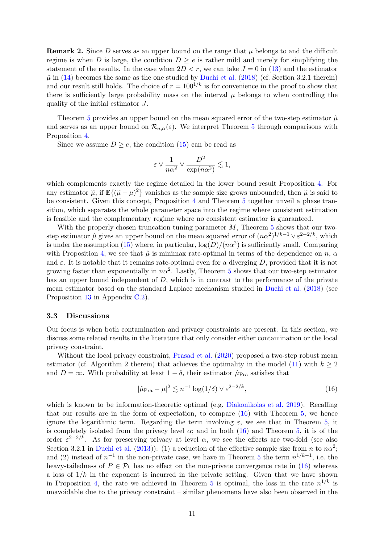**Remark 2.** Since D serves as an upper bound on the range that  $\mu$  belongs to and the difficult regime is when D is large, the condition  $D \ge e$  is rather mild and merely for simplifying the statement of the results. In the case when  $2D < r$ , we can take  $J = 0$  in [\(13\)](#page-9-1) and the estimator  $\hat{\mu}$  in [\(14\)](#page-9-2) becomes the same as the one studied by [Duchi et al.](#page-18-4) [\(2018](#page-18-4)) (cf. Section 3.2.1 therein) and our result still holds. The choice of  $r = 100^{1/k}$  is for convenience in the proof to show that there is sufficiently large probability mass on the interval  $\mu$  belongs to when controlling the quality of the initial estimator J.

Theorem [5](#page-9-0) provides an upper bound on the mean squared error of the two-step estimator  $\hat{\mu}$ and serves as an upper bound on  $\mathcal{R}_{n,\alpha}(\varepsilon)$ . We interpret Theorem [5](#page-9-0) through comparisons with Proposition [4.](#page-8-0)

Since we assume  $D \geq e$ , the condition [\(15\)](#page-9-3) can be read as

$$
\varepsilon \vee \frac{1}{n\alpha^2} \vee \frac{D^2}{\exp(n\alpha^2)} \lesssim 1,
$$

which complements exactly the regime detailed in the lower bound result Proposition [4.](#page-8-0) For any estimator  $\tilde{\mu}$ , if  $\mathbb{E}\{(\tilde{\mu} - \mu)^2\}$  vanishes as the sample size grows unbounded, then  $\tilde{\mu}$  is said to be consistent. Given this concept, Proposition [4](#page-8-0) and Theorem [5](#page-9-0) together unveil a phase transition, which separates the whole parameter space into the regime where consistent estimation is feasible and the complementary regime where no consistent estimator is guaranteed.

With the properly chosen truncation tuning parameter  $M$ , Theorem [5](#page-9-0) shows that our twostep estimator  $\hat{\mu}$  gives an upper bound on the mean squared error of  $(n\alpha^2)^{1/k-1} \vee \varepsilon^{2-2/k}$ , which is under the assumption [\(15\)](#page-9-3) where, in particular,  $\log(D)/(n\alpha^2)$  is sufficiently small. Comparing with Proposition [4,](#page-8-0) we see that  $\hat{\mu}$  is minimax rate-optimal in terms of the dependence on n,  $\alpha$ and  $\varepsilon$ . It is notable that it remains rate-optimal even for a diverging D, provided that it is not growing faster than exponentially in  $n\alpha^2$ . Lastly, Theorem [5](#page-9-0) shows that our two-step estimator has an upper bound independent of D, which is in contrast to the performance of the private mean estimator based on the standard Laplace mechanism studied in [Duchi et al.](#page-18-4) [\(2018](#page-18-4)) (see Proposition [13](#page-29-0) in Appendix [C.2\)](#page-29-1).

#### <span id="page-10-0"></span>3.3 Discussions

Our focus is when both contamination and privacy constraints are present. In this section, we discuss some related results in the literature that only consider either contamination or the local privacy constraint.

Without the local privacy constraint, [Prasad et al.](#page-19-16) [\(2020](#page-19-16)) proposed a two-step robust mean estimator (cf. Algorithm 2 therein) that achieves the optimality in the model [\(11\)](#page-8-1) with  $k \geq 2$ and  $D = \infty$ . With probability at least  $1 - \delta$ , their estimator  $\hat{\mu}_{\text{Pra}}$  satisfies that

<span id="page-10-1"></span>
$$
|\hat{\mu}_{\text{Pra}} - \mu|^2 \lesssim n^{-1} \log(1/\delta) \vee \varepsilon^{2-2/k},\tag{16}
$$

which is known to be information-theoretic optimal (e.g. [Diakonikolas et al. 2019](#page-18-7)). Recalling that our results are in the form of expectation, to compare [\(16\)](#page-10-1) with Theorem [5,](#page-9-0) we hence ignore the logarithmic term. Regarding the term involving  $\varepsilon$ , we see that in Theorem [5,](#page-9-0) it is completely isolated from the privacy level  $\alpha$ ; and in both [\(16\)](#page-10-1) and Theorem [5,](#page-9-0) it is of the order  $\varepsilon^{2-2/k}$ . As for preserving privacy at level  $\alpha$ , we see the effects are two-fold (see also Section 3.2.1 in [Duchi et al.](#page-18-13) [\(2013](#page-18-13))): (1) a reduction of the effective sample size from n to  $n\alpha^2$ ; and (2) instead of  $n^{-1}$  in the non-private case, we have in Theorem [5](#page-9-0) the term  $n^{1/k-1}$ , i.e. the heavy-tailedness of  $P \in \mathcal{P}_k$  has no effect on the non-private convergence rate in [\(16\)](#page-10-1) whereas a loss of  $1/k$  in the exponent is incurred in the private setting. Given that we have shown in Proposition [4,](#page-8-0) the rate we achieved in Theorem [5](#page-9-0) is optimal, the loss in the rate  $n^{1/k}$  is unavoidable due to the privacy constraint – similar phenomena have also been observed in the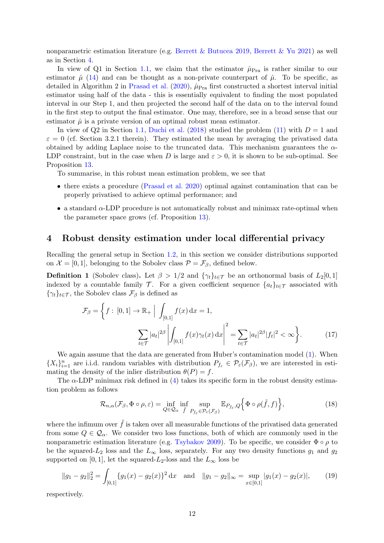nonparametric estimation literature (e.g. [Berrett & Butucea 2019,](#page-17-14) [Berrett & Yu 2021](#page-17-3)) as well as in Section [4.](#page-11-0)

In view of Q1 in Section [1.1,](#page-1-0) we claim that the estimator  $\hat{\mu}_{\text{Pra}}$  is rather similar to our estimator  $\hat{\mu}$  [\(14\)](#page-9-2) and can be thought as a non-private counterpart of  $\hat{\mu}$ . To be specific, as detailed in Algorithm 2 in [Prasad et al.](#page-19-16) [\(2020](#page-19-16)),  $\hat{\mu}_{\text{Pra}}$  first constructed a shortest interval initial estimator using half of the data - this is essentially equivalent to finding the most populated interval in our Step 1, and then projected the second half of the data on to the interval found in the first step to output the final estimator. One may, therefore, see in a broad sense that our estimator  $\hat{\mu}$  is a private version of an optimal robust mean estimator.

In view of Q2 in Section [1.1,](#page-1-0) [Duchi et al.](#page-18-4) [\(2018\)](#page-18-4) studied the problem [\(11\)](#page-8-1) with  $D = 1$  and  $\varepsilon = 0$  (cf. Section 3.2.1 therein). They estimated the mean by averaging the privatised data obtained by adding Laplace noise to the truncated data. This mechanism guarantees the  $\alpha$ -LDP constraint, but in the case when D is large and  $\varepsilon > 0$ , it is shown to be sub-optimal. See Proposition [13.](#page-29-0)

To summarise, in this robust mean estimation problem, we see that

- there exists a procedure [\(Prasad et al. 2020](#page-19-16)) optimal against contamination that can be properly privatised to achieve optimal performance; and
- $\bullet$  a standard  $\alpha$ -LDP procedure is not automatically robust and minimax rate-optimal when the parameter space grows (cf. Proposition [13\)](#page-29-0).

## <span id="page-11-0"></span>4 Robust density estimation under local differential privacy

<span id="page-11-4"></span>Recalling the general setup in Section [1.2,](#page-3-0) in this section we consider distributions supported on  $\mathcal{X} = [0, 1]$ , belonging to the Sobolev class  $\mathcal{P} = \mathcal{F}_{\beta}$ , defined below.

**Definition 1** (Sobolev class). Let  $\beta > 1/2$  and  $\{\gamma_t\}_{t \in \mathcal{T}}$  be an orthonormal basis of  $L_2[0,1]$ indexed by a countable family  $\mathcal{T}$ . For a given coefficient sequence  $\{a_t\}_{t\in\mathcal{T}}$  associated with  $\{\gamma_t\}_{t\in\mathcal{T}}$ , the Sobolev class  $\mathcal{F}_{\beta}$  is defined as

$$
\mathcal{F}_{\beta} = \left\{ f : [0, 1] \to \mathbb{R}_{+} \Big| \int_{[0, 1]} f(x) dx = 1, \right\}
$$

$$
\sum_{t \in \mathcal{T}} |a_{t}|^{2\beta} \left| \int_{[0, 1]} f(x) \gamma_{t}(x) dx \right|^{2} = \sum_{t \in \mathcal{T}} |a_{t}|^{2\beta} |f_{t}|^{2} < \infty \right\}.
$$
 (17)

We again assume that the data are generated from Huber's contamination model [\(1\)](#page-3-1). When  $\{X_i\}_{i=1}^n$  are i.i.d. random variables with distribution  $P_{f_{\varepsilon}} \in \mathcal{P}_{\varepsilon}(\mathcal{F}_{\beta})$ , we are interested in estimating the density of the inlier distribution  $\theta(P) = f$ .

The  $\alpha$ -LDP minimax risk defined in [\(4\)](#page-3-4) takes its specific form in the robust density estimation problem as follows

<span id="page-11-3"></span><span id="page-11-1"></span>
$$
\mathcal{R}_{n,\alpha}(\mathcal{F}_{\beta},\Phi\circ\rho,\varepsilon)=\inf_{Q\in\mathcal{Q}_{\alpha}}\inf_{\tilde{f}}\sup_{P_{f_{\varepsilon}}\in\mathcal{P}_{\varepsilon}(\mathcal{F}_{\beta})}\mathbb{E}_{P_{f_{\varepsilon}},Q}\Big\{\Phi\circ\rho(\tilde{f},f)\Big\},\tag{18}
$$

where the infimum over  $\tilde{f}$  is taken over all measurable functions of the privatised data generated from some  $Q \in \mathcal{Q}_\alpha$ . We consider two loss functions, both of which are commonly used in the nonparametric estimation literature (e.g. [Tsybakov 2009](#page-20-4)). To be specific, we consider  $\Phi \circ \rho$  to be the squared- $L_2$  loss and the  $L_{\infty}$  loss, separately. For any two density functions  $g_1$  and  $g_2$ supported on [0, 1], let the squared- $L_2$ -loss and the  $L_{\infty}$  loss be

<span id="page-11-2"></span>
$$
||g_1 - g_2||_2^2 = \int_{[0,1]} \{g_1(x) - g_2(x)\}^2 dx \text{ and } ||g_1 - g_2||_{\infty} = \sup_{x \in [0,1]} |g_1(x) - g_2(x)|,
$$
 (19)

respectively.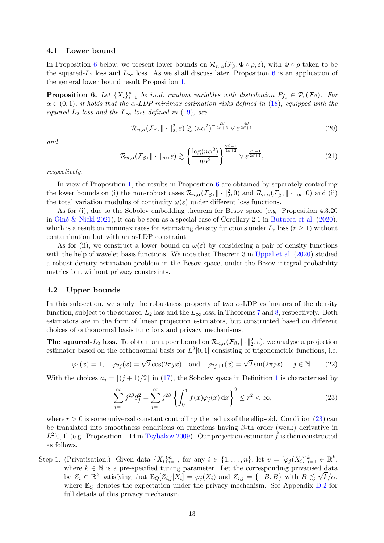### 4.1 Lower bound

In Proposition [6](#page-12-0) below, we present lower bounds on  $\mathcal{R}_{n,\alpha}(\mathcal{F}_{\beta},\Phi\circ\rho,\varepsilon)$ , with  $\Phi\circ\rho$  taken to be the squared- $L_2$  loss and  $L_{\infty}$  loss. As we shall discuss later, Proposition [6](#page-12-0) is an application of the general lower bound result Proposition [1.](#page-4-2)

<span id="page-12-0"></span>**Proposition 6.** Let  $\{X_i\}_{i=1}^n$  be i.i.d. random variables with distribution  $P_{f_{\varepsilon}} \in \mathcal{P}_{\varepsilon}(\mathcal{F}_{\beta})$ . For  $\alpha \in (0,1)$ , it holds that the  $\alpha$ -LDP minimax estimation risks defined in [\(18\)](#page-11-1), equipped with the squared- $L_2$  loss and the  $L_{\infty}$  loss defined in [\(19\)](#page-11-2), are

<span id="page-12-2"></span>
$$
\mathcal{R}_{n,\alpha}(\mathcal{F}_{\beta}, \|\cdot\|_{2}^{2}, \varepsilon) \gtrsim (n\alpha^{2})^{-\frac{2\beta}{2\beta+2}} \vee \varepsilon^{\frac{4\beta}{2\beta+1}} \tag{20}
$$

and

<span id="page-12-3"></span>
$$
\mathcal{R}_{n,\alpha}(\mathcal{F}_{\beta}, \|\cdot\|_{\infty}, \varepsilon) \gtrsim \left\{ \frac{\log(n\alpha^2)}{n\alpha^2} \right\}^{\frac{2\beta-1}{4\beta+2}} \vee \varepsilon^{\frac{2\beta-1}{2\beta+1}}, \tag{21}
$$

respectively.

In view of Proposition [1,](#page-4-2) the results in Proposition [6](#page-12-0) are obtained by separately controlling the lower bounds on (i) the non-robust cases  $\mathcal{R}_{n,\alpha}(\mathcal{F}_{\beta}, \|\cdot\|_{2}^{2},0)$  and  $\mathcal{R}_{n,\alpha}(\mathcal{F}_{\beta}, \|\cdot\|_{\infty},0)$  and (ii) the total variation modulus of continuity  $\omega(\varepsilon)$  under different loss functions.

As for (i), due to the Sobolev embedding theorem for Besov space (e.g. Proposition 4.3.20 in Giné & Nickl 2021), it can be seen as a special case of Corollary 2.1 in [Butucea et al.](#page-17-2) [\(2020](#page-17-2)), which is a result on minimax rates for estimating density functions under  $L_r$  loss ( $r \geq 1$ ) without contamination but with an  $\alpha$ -LDP constraint.

As for (ii), we construct a lower bound on  $\omega(\varepsilon)$  by considering a pair of density functions with the help of wavelet basis functions. We note that Theorem 3 in [Uppal et al.](#page-20-5) [\(2020](#page-20-5)) studied a robust density estimation problem in the Besov space, under the Besov integral probability metrics but without privacy constraints.

#### 4.2 Upper bounds

In this subsection, we study the robustness property of two  $\alpha$ -LDP estimators of the density function, subject to the squared- $L_2$  loss and the  $L_{\infty}$  loss, in Theorems [7](#page-13-0) and [8,](#page-14-0) respectively. Both estimators are in the form of linear projection estimators, but constructed based on different choices of orthonormal basis functions and privacy mechanisms.

**The squared-** $L_2$  loss. To obtain an upper bound on  $\mathcal{R}_{n,\alpha}(\mathcal{F}_{\beta},\|\cdot\|_2^2,\varepsilon)$ , we analyse a projection estimator based on the orthonormal basis for  $L^2[0,1]$  consisting of trigonometric functions, i.e.

<span id="page-12-4"></span>
$$
\varphi_1(x) = 1
$$
,  $\varphi_{2j}(x) = \sqrt{2}\cos(2\pi jx)$  and  $\varphi_{2j+1}(x) = \sqrt{2}\sin(2\pi jx)$ ,  $j \in \mathbb{N}$ . (22)

With the choices  $a_i = |(j + 1)/2|$  $a_i = |(j + 1)/2|$  $a_i = |(j + 1)/2|$  in [\(17\)](#page-11-3), the Sobolev space in Definition 1 is characterised by

<span id="page-12-1"></span>
$$
\sum_{j=1}^{\infty} j^{2\beta} \theta_j^2 = \sum_{j=1}^{\infty} j^{2\beta} \left\{ \int_0^1 f(x) \varphi_j(x) \, dx \right\}^2 \le r^2 < \infty,\tag{23}
$$

where  $r > 0$  is some universal constant controlling the radius of the ellipsoid. Condition [\(23\)](#page-12-1) can be translated into smoothness conditions on functions having  $\beta$ -th order (weak) derivative in  $L^2[0,1]$  (e.g. Proposition 1.14 in [Tsybakov 2009](#page-20-4)). Our projection estimator  $\hat{f}$  is then constructed as follows.

Step 1. (Privatisation.) Given data  $\{X_i\}_{i=1}^n$ , for any  $i \in \{1, \ldots, n\}$ , let  $v = [\varphi_j(X_i)]_{j=1}^k \in \mathbb{R}^k$ , where  $k \in \mathbb{N}$  is a pre-specified tuning parameter. Let the corresponding privatised data be  $Z_i \in \mathbb{R}^k$  satisfying that  $\mathbb{E}_Q[Z_{i,j}|X_i] = \varphi_j(X_i)$  and  $Z_{i,j} = \{-B, B\}$  with  $B \lesssim \sqrt{k}/\alpha$ , where  $\mathbb{E}_Q$  denotes the expectation under the privacy mechanism. See Appendix [D.2](#page-34-0) for full details of this privacy mechanism.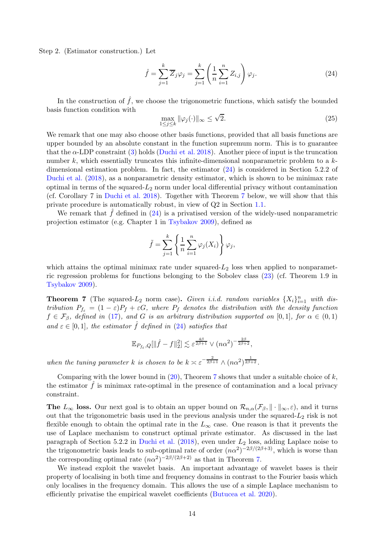Step 2. (Estimator construction.) Let

<span id="page-13-1"></span>
$$
\hat{f} = \sum_{j=1}^{k} \overline{Z}_j \varphi_j = \sum_{j=1}^{k} \left( \frac{1}{n} \sum_{i=1}^{n} Z_{i,j} \right) \varphi_j.
$$
\n(24)

In the construction of  $\hat{f}$ , we choose the trigonometric functions, which satisfy the bounded basis function condition with

<span id="page-13-2"></span>
$$
\max_{1 \le j \le k} \|\varphi_j(\cdot)\|_{\infty} \le \sqrt{2}.\tag{25}
$$

We remark that one may also choose other basis functions, provided that all basis functions are upper bounded by an absolute constant in the function supremum norm. This is to guarantee that the  $\alpha$ -LDP constraint [\(3\)](#page-3-3) holds [\(Duchi et al. 2018\)](#page-18-4). Another piece of input is the truncation number k, which essentially truncates this infinite-dimensional nonparametric problem to a  $k$ dimensional estimation problem. In fact, the estimator [\(24\)](#page-13-1) is considered in Section 5.2.2 of [Duchi et al.](#page-18-4) [\(2018\)](#page-18-4), as a nonparametric density estimator, which is shown to be minimax rate optimal in terms of the squared- $L_2$  norm under local differential privacy without contamination (cf. Corollary 7 in [Duchi et al. 2018](#page-18-4)). Together with Theorem [7](#page-13-0) below, we will show that this private procedure is automatically robust, in view of Q2 in Section [1.1.](#page-1-0)

We remark that  $f$  defined in [\(24\)](#page-13-1) is a privatised version of the widely-used nonparametric projection estimator (e.g. Chapter 1 in [Tsybakov 2009](#page-20-4)), defined as

$$
\tilde{f} = \sum_{j=1}^{k} \left\{ \frac{1}{n} \sum_{i=1}^{n} \varphi_j(X_i) \right\} \varphi_j,
$$

which attains the optimal minimax rate under squared- $L<sub>2</sub>$  loss when applied to nonparametric regression problems for functions belonging to the Sobolev class [\(23\)](#page-12-1) (cf. Theorem 1.9 in [Tsybakov 2009](#page-20-4)).

<span id="page-13-0"></span>**Theorem 7** (The squared- $L_2$  norm case). Given i.i.d. random variables  $\{X_i\}_{i=1}^n$  with distribution  $P_{f_{\varepsilon}} = (1 - \varepsilon)P_f + \varepsilon G$ , where  $P_f$  denotes the distribution with the density function  $f \in \mathcal{F}_{\beta}$ , defined in [\(17\)](#page-11-3), and G is an arbitrary distribution supported on [0,1], for  $\alpha \in (0,1)$ and  $\varepsilon \in [0,1]$ , the estimator f defined in [\(24\)](#page-13-1) satisfies that

$$
\mathbb{E}_{P_{f_{\varepsilon}},Q}[\|\hat{f}-f\|_2^2] \lesssim \varepsilon^{\frac{4\beta}{2\beta+1}} \vee (n\alpha^2)^{-\frac{2\beta}{2\beta+2}},
$$

when the tuning parameter k is chosen to be  $k \approx \varepsilon^{-\frac{2}{2\beta+1}} \wedge (n\alpha^2)^{\frac{1}{2\beta+2}}$ .

Comparing with the lower bound in  $(20)$ , Theorem [7](#page-13-0) shows that under a suitable choice of k, the estimator  $\hat{f}$  is minimax rate-optimal in the presence of contamination and a local privacy constraint.

The  $L_{\infty}$  loss. Our next goal is to obtain an upper bound on  $\mathcal{R}_{n,\alpha}(\mathcal{F}_{\beta},\|\cdot\|_{\infty},\varepsilon)$ , and it turns out that the trigonometric basis used in the previous analysis under the squared- $L_2$  risk is not flexible enough to obtain the optimal rate in the  $L_{\infty}$  case. One reason is that it prevents the use of Laplace mechanism to construct optimal private estimator. As discussed in the last paragraph of Section 5.2.2 in [Duchi et al.](#page-18-4)  $(2018)$  $(2018)$ , even under  $L_2$  loss, adding Laplace noise to the trigonometric basis leads to sub-optimal rate of order  $(n\alpha^2)^{-2\beta/(2\beta+3)}$ , which is worse than the corresponding optimal rate  $(n\alpha^2)^{-2\beta/(2\beta+2)}$  as that in Theorem [7.](#page-13-0)

We instead exploit the wavelet basis. An important advantage of wavelet bases is their property of localising in both time and frequency domains in contrast to the Fourier basis which only localises in the frequency domain. This allows the use of a simple Laplace mechanism to efficiently privatise the empirical wavelet coefficients [\(Butucea et al. 2020](#page-17-2)).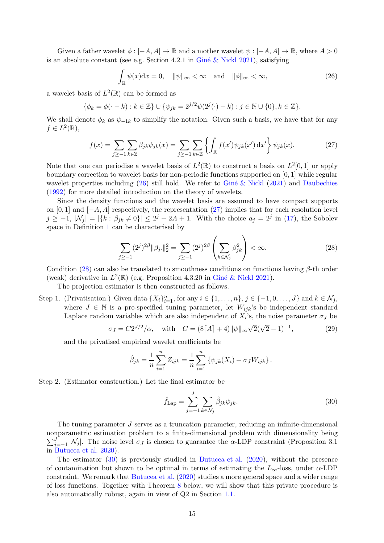Given a father wavelet  $\phi : [-A, A] \to \mathbb{R}$  and a mother wavelet  $\psi : [-A, A] \to \mathbb{R}$ , where  $A > 0$ is an absolute constant (see e.g. Section 4.2.1 in Giné & Nickl 2021), satisfying

<span id="page-14-1"></span>
$$
\int_{\mathbb{R}} \psi(x) dx = 0, \quad \|\psi\|_{\infty} < \infty \quad \text{and} \quad \|\phi\|_{\infty} < \infty,
$$
\n(26)

a wavelet basis of  $L^2(\mathbb{R})$  can be formed as

$$
\{\phi_k = \phi(\cdot - k) : k \in \mathbb{Z}\} \cup \{\psi_{jk} = 2^{j/2}\psi(2^j(\cdot) - k) : j \in \mathbb{N} \cup \{0\}, k \in \mathbb{Z}\}.
$$

We shall denote  $\phi_k$  as  $\psi_{-1k}$  to simplify the notation. Given such a basis, we have that for any  $f \in L^2(\mathbb{R}),$ 

<span id="page-14-2"></span>
$$
f(x) = \sum_{j \ge -1} \sum_{k \in \mathbb{Z}} \beta_{jk} \psi_{jk}(x) = \sum_{j \ge -1} \sum_{k \in \mathbb{Z}} \left\{ \int_{\mathbb{R}} f(x') \psi_{jk}(x') dx' \right\} \psi_{jk}(x).
$$
 (27)

Note that one can periodise a wavelet basis of  $L^2(\mathbb{R})$  to construct a basis on  $L^2[0,1]$  or apply boundary correction to wavelet basis for non-periodic functions supported on [0, 1] while regular wavelet properties including  $(26)$  still hold. We refer to Giné & Nickl  $(2021)$  $(2021)$  and [Daubechies](#page-17-16) [\(1992](#page-17-16)) for more detailed introduction on the theory of wavelets.

Since the density functions and the wavelet basis are assumed to have compact supports on [0, 1] and  $[-A, A]$  respectively, the representation [\(27\)](#page-14-2) implies that for each resolution level  $j \ge -1, |\mathcal{N}_j| = |\{k : \beta_{jk} \ne 0\}| \le 2^j + 2A + 1$ . With the choice  $a_j = 2^j$  in [\(17\)](#page-11-3), the Sobolev space in Definition [1](#page-11-4) can be characterised by

<span id="page-14-3"></span>
$$
\sum_{j\geq -1} (2^j)^{2\beta} \|\beta_j\|_2^2 = \sum_{j\geq -1} (2^j)^{2\beta} \left(\sum_{k\in \mathcal{N}_j} \beta_{jk}^2\right) < \infty. \tag{28}
$$

Condition [\(28\)](#page-14-3) can also be translated to smoothness conditions on functions having  $\beta$ -th order (weak) derivative in  $L^2(\mathbb{R})$  (e.g. Proposition 4.3.20 in Giné & Nickl 2021).

The projection estimator is then constructed as follows.

Step 1. (Privatisation.) Given data  $\{X_i\}_{i=1}^n$ , for any  $i \in \{1, \ldots, n\}$ ,  $j \in \{-1, 0, \ldots, J\}$  and  $k \in \mathcal{N}_j$ , where  $J \in \mathbb{N}$  is a pre-specified tuning parameter, let  $W_{ijk}$ 's be independent standard Laplace random variables which are also independent of  $X_i$ 's, the noise parameter  $\sigma_J$  be

<span id="page-14-5"></span>
$$
\sigma_J = C2^{J/2}/\alpha, \quad \text{with} \quad C = (8\lceil A\rceil + 4) \|\psi\|_{\infty} \sqrt{2}(\sqrt{2} - 1)^{-1}, \tag{29}
$$

and the privatised empirical wavelet coefficients be

$$
\hat{\beta}_{jk} = \frac{1}{n} \sum_{i=1}^{n} Z_{ijk} = \frac{1}{n} \sum_{i=1}^{n} \{ \psi_{jk}(X_i) + \sigma_J W_{ijk} \}.
$$

Step 2. (Estimator construction.) Let the final estimator be

<span id="page-14-4"></span>
$$
\hat{f}_{\text{Lap}} = \sum_{j=-1}^{J} \sum_{k \in \mathcal{N}_j} \hat{\beta}_{jk} \psi_{jk}.
$$
\n(30)

The tuning parameter J serves as a truncation parameter, reducing an infinite-dimensional nonparametric estimation problem to a finite-dimensional p roblem with dimensionality being  $\nabla^J$  $j_{j=-1}^{J}$  |N<sub>j</sub>|. The noise level  $\sigma_{J}$  is chosen to guarantee the  $\alpha$ -LDP constraint (Proposition 3.1) in [Butucea et al. 2020](#page-17-2)).

<span id="page-14-0"></span>The estimator [\(30\)](#page-14-4) is previously studied in [Butucea et al.](#page-17-2) [\(2020](#page-17-2)), without the presence of contamination but shown to be optimal in terms of estimating the  $L_{\infty}$ -loss, under  $\alpha$ -LDP constraint. We remark that [Butucea et al.](#page-17-2) [\(2020](#page-17-2)) studies a more general space and a wider range of loss functions. Together with Theorem [8](#page-14-0) below, we will show that this private procedure is also automatically robust, again in view of Q2 in Section [1.1.](#page-1-0)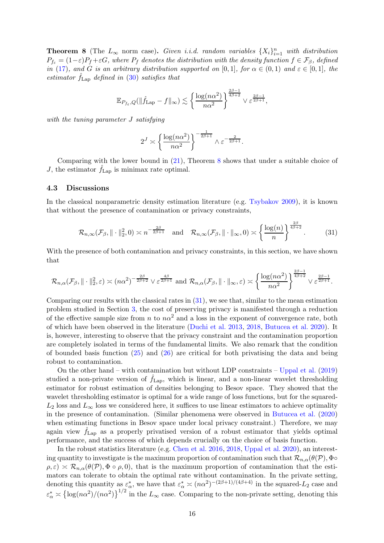**Theorem 8** (The  $L_{\infty}$  norm case). Given i.i.d. random variables  $\{X_i\}_{i=1}^n$  with distribution  $P_{f_{\varepsilon}} = (1 - \varepsilon)P_f + \varepsilon G$ , where  $P_f$  denotes the distribution with the density function  $f \in \mathcal{F}_{\beta}$ , defined in [\(17\)](#page-11-3), and G is an arbitrary distribution supported on [0,1], for  $\alpha \in (0,1)$  and  $\varepsilon \in [0,1]$ , the estimator  $f_{\text{Lap}}$  defined in [\(30\)](#page-14-4) satisfies that

$$
\mathbb{E}_{P_{f_{\varepsilon}},Q}(\|\widehat{f}_{\mathrm{Lap}}-f\|_{\infty})\lesssim \left\{\frac{\log(n\alpha^2)}{n\alpha^2}\right\}^{\frac{2\beta-1}{4\beta+2}}\vee\varepsilon^{\frac{2\beta-1}{2\beta+1}},
$$

with the tuning parameter J satisfying

$$
2^{J} \asymp \left\{ \frac{\log(n\alpha^2)}{n\alpha^2} \right\}^{-\frac{1}{2\beta+1}} \wedge \varepsilon^{-\frac{2}{2\beta+1}}.
$$

Comparing with the lower bound in [\(21\)](#page-12-3), Theorem [8](#page-14-0) shows that under a suitable choice of J, the estimator  $f_{\text{Lap}}$  is minimax rate optimal.

#### <span id="page-15-0"></span>4.3 Discussions

In the classical nonparametric density estimation literature (e.g. [Tsybakov 2009](#page-20-4)), it is known that without the presence of contamination or privacy constraints,

<span id="page-15-1"></span>
$$
\mathcal{R}_{n,\infty}(\mathcal{F}_{\beta}, \|\cdot\|_{2}^{2},0) \asymp n^{-\frac{2\beta}{2\beta+1}} \quad \text{and} \quad \mathcal{R}_{n,\infty}(\mathcal{F}_{\beta}, \|\cdot\|_{\infty},0) \asymp \left\{\frac{\log(n)}{n}\right\}^{\frac{2\beta}{4\beta+2}}.\tag{31}
$$

With the presence of both contamination and privacy constraints, in this section, we have shown that

$$
\mathcal{R}_{n,\alpha}(\mathcal{F}_{\beta}, \|\cdot\|_{2}^{2}, \varepsilon) \asymp (n\alpha^{2})^{-\frac{2\beta}{2\beta+2}} \vee \varepsilon^{\frac{4\beta}{2\beta+1}} \text{ and } \mathcal{R}_{n,\alpha}(\mathcal{F}_{\beta}, \|\cdot\|_{\infty}, \varepsilon) \asymp \left\{ \frac{\log(n\alpha^{2})}{n\alpha^{2}} \right\}^{\frac{2\beta-1}{4\beta+2}} \vee \varepsilon^{\frac{2\beta-1}{2\beta+1}}.
$$

Comparing our results with the classical rates in [\(31\)](#page-15-1), we see that, similar to the mean estimation problem studied in Section [3,](#page-7-0) the cost of preserving privacy is manifested through a reduction of the effective sample size from n to  $n\alpha^2$  and a loss in the exponent of convergence rate, both of which have been observed in the literature [\(Duchi et al. 2013](#page-18-13), [2018,](#page-18-4) [Butucea et al. 2020](#page-17-2)). It is, however, interesting to observe that the privacy constraint and the contamination proportion are completely isolated in terms of the fundamental limits. We also remark that the condition of bounded basis function [\(25\)](#page-13-2) and [\(26\)](#page-14-1) are critical for both privatising the data and being robust to contamination.

On the other hand – with contamination but without LDP constraints – [Uppal et al.](#page-20-6) [\(2019](#page-20-6)) studied a non-private version of  $\hat{f}_{\text{Lap}}$ , which is linear, and a non-linear wavelet thresholding estimator for robust estimation of densities belonging to Besov space. They showed that the wavelet thresholding estimator is optimal for a wide range of loss functions, but for the squared- $L_2$  loss and  $L_\infty$  loss we considered here, it suffices to use linear estimators to achieve optimality in the presence of contamination. (Similar phenomena were observed in [Butucea et al.](#page-17-2) [\(2020](#page-17-2)) when estimating functions in Besov space under local privacy constraint.) Therefore, we may again view  $f_{\text{Lap}}$  as a properly privatised version of a robust estimator that yields optimal performance, and the success of which depends crucially on the choice of basis function.

In the robust statistics literature (e.g. [Chen et al. 2016](#page-17-8), [2018](#page-17-11), [Uppal et al. 2020](#page-20-5)), an interesting quantity to investigate is the maximum proportion of contamination such that  $\mathcal{R}_{n,\alpha}(\theta(\mathcal{P}),\Phi\circ\theta)$  $\rho, \varepsilon$ )  $\leq \mathcal{R}_{n,\alpha}(\theta(\mathcal{P}), \Phi \circ \rho, 0)$ , that is the maximum proportion of contamination that the estimators can tolerate to obtain the optimal rate without contamination. In the private setting, denoting this quantity as  $\varepsilon_{\alpha}^*$ , we have that  $\varepsilon_{\alpha}^* \asymp (n\alpha^2)^{-(2\beta+1)/(4\beta+4)}$  in the squared-L<sub>2</sub> case and  $\varepsilon^*_{\alpha} \asymp {\log(n\alpha^2)} / (n\alpha^2)$ <sup>1/2</sup> in the  $L_{\infty}$  case. Comparing to the non-private setting, denoting this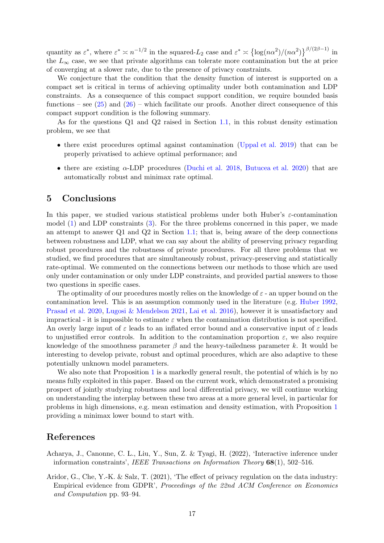quantity as  $\varepsilon^*$ , where  $\varepsilon^* \approx n^{-1/2}$  in the squared- $L_2$  case and  $\varepsilon^* \approx {\log(n\alpha^2)}/{(n\alpha^2)}^{\beta/(2\beta-1)}$  in the  $L_{\infty}$  case, we see that private algorithms can tolerate more contamination but the at price of converging at a slower rate, due to the presence of privacy constraints.

We conjecture that the condition that the density function of interest is supported on a compact set is critical in terms of achieving optimality under both contamination and LDP constraints. As a consequence of this compact support condition, we require bounded basis functions – see  $(25)$  and  $(26)$  – which facilitate our proofs. Another direct consequence of this compact support condition is the following summary.

As for the questions Q1 and Q2 raised in Section [1.1,](#page-1-0) in this robust density estimation problem, we see that

- there exist procedures optimal against contamination [\(Uppal et al. 2019](#page-20-6)) that can be properly privatised to achieve optimal performance; and
- there are existing  $\alpha$ -LDP procedures [\(Duchi et al. 2018](#page-18-4), [Butucea et al. 2020](#page-17-2)) that are automatically robust and minimax rate optimal.

## 5 Conclusions

In this paper, we studied various statistical problems under both Huber's  $\varepsilon$ -contamination model [\(1\)](#page-3-1) and LDP constraints [\(3\)](#page-3-3). For the three problems concerned in this paper, we made an attempt to answer  $Q1$  and  $Q2$  in Section [1.1;](#page-1-0) that is, being aware of the deep connections between robustness and LDP, what we can say about the ability of preserving privacy regarding robust procedures and the robustness of private procedures. For all three problems that we studied, we find procedures that are simultaneously robust, privacy-preserving and statistically rate-optimal. We commented on the connections between our methods to those which are used only under contamination or only under LDP constraints, and provided partial answers to those two questions in specific cases.

The optimality of our procedures mostly relies on the knowledge of  $\varepsilon$  - an upper bound on the contamination level. This is an assumption commonly used in the literature (e.g. [Huber 1992](#page-19-14), [Prasad et al. 2020](#page-19-16), [Lugosi & Mendelson 2021](#page-19-10), [Lai et al. 2016\)](#page-19-17), however it is unsatisfactory and impractical - it is impossible to estimate  $\varepsilon$  when the contamination distribution is not specified. An overly large input of  $\varepsilon$  leads to an inflated error bound and a conservative input of  $\varepsilon$  leads to unjustified error controls. In addition to the contamination proportion  $\varepsilon$ , we also require knowledge of the smoothness parameter  $\beta$  and the heavy-tailedness parameter k. It would be interesting to develop private, robust and optimal procedures, which are also adaptive to these potentially unknown model parameters.

We also note that Proposition [1](#page-4-2) is a markedly general result, the potential of which is by no means fully exploited in this paper. Based on the current work, which demonstrated a promising prospect of jointly studying robustness and local differential privacy, we will continue working on understanding the interplay between these two areas at a more general level, in particular for problems in high dimensions, e.g. mean estimation and density estimation, with Proposition [1](#page-4-2) providing a minimax lower bound to start with.

## References

- <span id="page-16-1"></span>Acharya, J., Canonne, C. L., Liu, Y., Sun, Z. & Tyagi, H. (2022), 'Interactive inference under information constraints', IEEE Transactions on Information Theory  $68(1)$ , 502–516.
- <span id="page-16-0"></span>Aridor, G., Che, Y.-K. & Salz, T. (2021), 'The effect of privacy regulation on the data industry: Empirical evidence from GDPR', Proceedings of the 22nd ACM Conference on Economics and Computation pp. 93–94.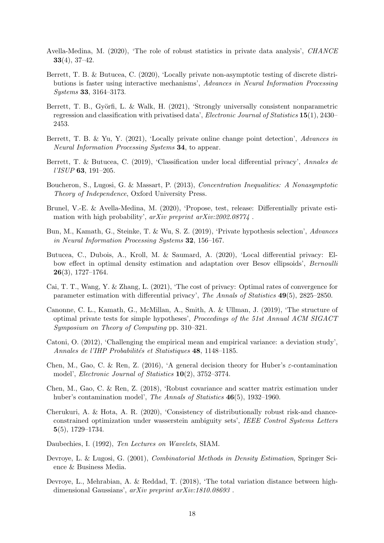- <span id="page-17-7"></span>Avella-Medina, M. (2020), 'The role of robust statistics in private data analysis', CHANCE 33(4), 37–42.
- <span id="page-17-1"></span>Berrett, T. B. & Butucea, C. (2020), 'Locally private non-asymptotic testing of discrete distributions is faster using interactive mechanisms', Advances in Neural Information Processing Systems 33, 3164–3173.
- <span id="page-17-15"></span>Berrett, T. B., Györfi, L. & Walk, H. (2021), 'Strongly universally consistent nonparametric regression and classification with privatised data', Electronic Journal of Statistics 15(1), 2430– 2453.
- <span id="page-17-3"></span>Berrett, T. B. & Yu, Y. (2021), 'Locally private online change point detection', Advances in Neural Information Processing Systems 34, to appear.
- <span id="page-17-14"></span>Berrett, T. & Butucea, C. (2019), 'Classification under local differential privacy', Annales de l'ISUP 63, 191–205.
- <span id="page-17-17"></span>Boucheron, S., Lugosi, G. & Massart, P. (2013), Concentration Inequalities: A Nonasymptotic Theory of Independence, Oxford University Press.
- <span id="page-17-10"></span>Brunel, V.-E. & Avella-Medina, M. (2020), 'Propose, test, release: Differentially private estimation with high probability',  $arXiv$  preprint  $arXiv:2002.08774$ .
- <span id="page-17-12"></span>Bun, M., Kamath, G., Steinke, T. & Wu, S. Z. (2019), 'Private hypothesis selection', Advances in Neural Information Processing Systems 32, 156–167.
- <span id="page-17-2"></span>Butucea, C., Dubois, A., Kroll, M. & Saumard, A. (2020), 'Local differential privacy: Elbow effect in optimal density estimation and adaptation over Besov ellipsoids', Bernoulli  $26(3), 1727-1764.$
- <span id="page-17-0"></span>Cai, T. T., Wang, Y. & Zhang, L. (2021), 'The cost of privacy: Optimal rates of convergence for parameter estimation with differential privacy', The Annals of Statistics 49(5), 2825–2850.
- <span id="page-17-6"></span>Canonne, C. L., Kamath, G., McMillan, A., Smith, A. & Ullman, J. (2019), 'The structure of optimal private tests for simple hypotheses', Proceedings of the 51st Annual ACM SIGACT Symposium on Theory of Computing pp. 310–321.
- <span id="page-17-4"></span>Catoni, O. (2012), 'Challenging the empirical mean and empirical variance: a deviation study', Annales de l'IHP Probabilités et Statistiques 48, 1148–1185.
- <span id="page-17-8"></span>Chen, M., Gao, C. & Ren, Z. (2016), 'A general decision theory for Huber's  $\varepsilon$ -contamination model', Electronic Journal of Statistics 10(2), 3752–3774.
- <span id="page-17-11"></span>Chen, M., Gao, C. & Ren, Z. (2018), 'Robust covariance and scatter matrix estimation under huber's contamination model', The Annals of Statistics 46(5), 1932–1960.
- <span id="page-17-5"></span>Cherukuri, A. & Hota, A. R. (2020), 'Consistency of distributionally robust risk-and chanceconstrained optimization under wasserstein ambiguity sets', IEEE Control Systems Letters 5(5), 1729–1734.
- <span id="page-17-16"></span>Daubechies, I. (1992), Ten Lectures on Wavelets, SIAM.
- <span id="page-17-9"></span>Devroye, L. & Lugosi, G. (2001), Combinatorial Methods in Density Estimation, Springer Science & Business Media.
- <span id="page-17-13"></span>Devroye, L., Mehrabian, A. & Reddad, T. (2018), 'The total variation distance between highdimensional Gaussians', arXiv preprint arXiv:1810.08693 .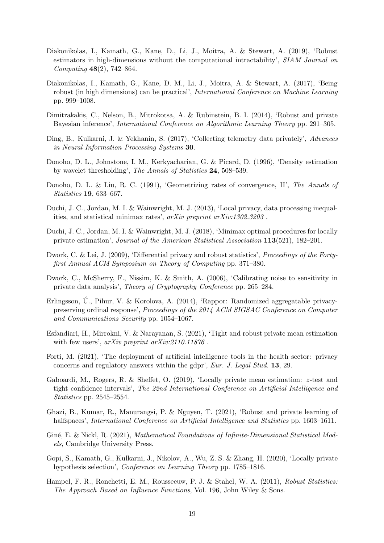- <span id="page-18-7"></span>Diakonikolas, I., Kamath, G., Kane, D., Li, J., Moitra, A. & Stewart, A. (2019), 'Robust estimators in high-dimensions without the computational intractability', SIAM Journal on Computing 48(2), 742–864.
- <span id="page-18-6"></span>Diakonikolas, I., Kamath, G., Kane, D. M., Li, J., Moitra, A. & Stewart, A. (2017), 'Being robust (in high dimensions) can be practical', International Conference on Machine Learning pp. 999–1008.
- <span id="page-18-9"></span>Dimitrakakis, C., Nelson, B., Mitrokotsa, A. & Rubinstein, B. I. (2014), 'Robust and private Bayesian inference', International Conference on Algorithmic Learning Theory pp. 291–305.
- <span id="page-18-1"></span>Ding, B., Kulkarni, J. & Yekhanin, S. (2017), 'Collecting telemetry data privately', Advances in Neural Information Processing Systems 30.
- <span id="page-18-17"></span>Donoho, D. L., Johnstone, I. M., Kerkyacharian, G. & Picard, D. (1996), 'Density estimation by wavelet thresholding', The Annals of Statistics 24, 508–539.
- <span id="page-18-14"></span>Donoho, D. L. & Liu, R. C. (1991), 'Geometrizing rates of convergence, II', The Annals of Statistics 19, 633–667.
- <span id="page-18-13"></span>Duchi, J. C., Jordan, M. I. & Wainwright, M. J. (2013), 'Local privacy, data processing inequalities, and statistical minimax rates', arXiv preprint arXiv:1302.3203 .
- <span id="page-18-4"></span>Duchi, J. C., Jordan, M. I. & Wainwright, M. J. (2018), 'Minimax optimal procedures for locally private estimation', Journal of the American Statistical Association 113(521), 182–201.
- <span id="page-18-8"></span>Dwork, C. & Lei, J. (2009), 'Differential privacy and robust statistics', *Proceedings of the Forty*first Annual ACM Symposium on Theory of Computing pp. 371–380.
- <span id="page-18-3"></span>Dwork, C., McSherry, F., Nissim, K. & Smith, A. (2006), 'Calibrating noise to sensitivity in private data analysis', Theory of Cryptography Conference pp. 265–284.
- <span id="page-18-0"></span>Erlingsson, U., Pihur, V. & Korolova, A. (2014), 'Rappor: Randomized aggregatable privacypreserving ordinal response', Proceedings of the 2014 ACM SIGSAC Conference on Computer and Communications Security pp. 1054–1067.
- <span id="page-18-11"></span>Esfandiari, H., Mirrokni, V. & Narayanan, S. (2021), 'Tight and robust private mean estimation with few users',  $arXiv$  preprint  $arXiv:2110.11876$ .
- <span id="page-18-2"></span>Forti, M. (2021), 'The deployment of artificial intelligence tools in the health sector: privacy concerns and regulatory answers within the gdpr', Eur. J. Legal Stud. 13, 29.
- <span id="page-18-15"></span>Gaboardi, M., Rogers, R. & Sheffet, O. (2019), 'Locally private mean estimation: z-test and tight confidence intervals', The 22nd International Conference on Artificial Intelligence and Statistics pp. 2545–2554.
- <span id="page-18-10"></span>Ghazi, B., Kumar, R., Manurangsi, P. & Nguyen, T. (2021), 'Robust and private learning of halfspaces', International Conference on Artificial Intelligence and Statistics pp. 1603–1611.
- <span id="page-18-16"></span>Giné, E. & Nickl, R. (2021), Mathematical Foundations of Infinite-Dimensional Statistical Models, Cambridge University Press.
- <span id="page-18-12"></span>Gopi, S., Kamath, G., Kulkarni, J., Nikolov, A., Wu, Z. S. & Zhang, H. (2020), 'Locally private hypothesis selection', Conference on Learning Theory pp. 1785–1816.
- <span id="page-18-5"></span>Hampel, F. R., Ronchetti, E. M., Rousseeuw, P. J. & Stahel, W. A. (2011), Robust Statistics: The Approach Based on Influence Functions, Vol. 196, John Wiley & Sons.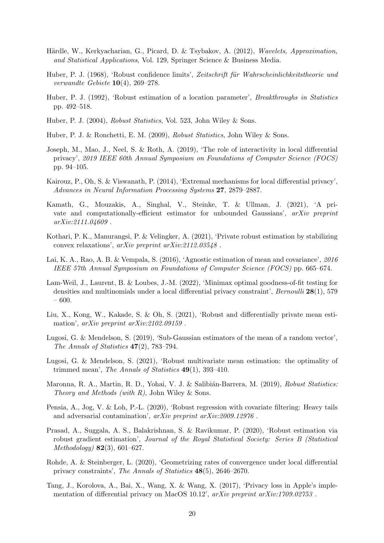- <span id="page-19-18"></span>Härdle, W., Kerkyacharian, G., Picard, D. & Tsybakov, A. (2012), Wavelets, Approximation, and Statistical Applications, Vol. 129, Springer Science & Business Media.
- <span id="page-19-9"></span>Huber, P. J. (1968), 'Robust confidence limits', Zeitschrift für Wahrscheinlichkeitstheorie und verwandte Gebiete  $10(4)$ , 269–278.
- <span id="page-19-14"></span>Huber, P. J. (1992), 'Robust estimation of a location parameter', *Breakthroughs in Statistics* pp. 492–518.
- <span id="page-19-6"></span>Huber, P. J. (2004), Robust Statistics, Vol. 523, John Wiley & Sons.
- <span id="page-19-5"></span>Huber, P. J. & Ronchetti, E. M. (2009), Robust Statistics, John Wiley & Sons.
- <span id="page-19-3"></span>Joseph, M., Mao, J., Neel, S. & Roth, A. (2019), 'The role of interactivity in local differential privacy', 2019 IEEE 60th Annual Symposium on Foundations of Computer Science (FOCS) pp. 94–105.
- <span id="page-19-2"></span>Kairouz, P., Oh, S. & Viswanath, P. (2014), 'Extremal mechanisms for local differential privacy', Advances in Neural Information Processing Systems 27, 2879–2887.
- <span id="page-19-15"></span>Kamath, G., Mouzakis, A., Singhal, V., Steinke, T. & Ullman, J. (2021), 'A private and computationally-efficient estimator for unbounded Gaussians', arXiv preprint arXiv:2111.04609 .
- <span id="page-19-12"></span>Kothari, P. K., Manurangsi, P. & Velingker, A. (2021), 'Private robust estimation by stabilizing convex relaxations', arXiv preprint arXiv:2112.03548 .
- <span id="page-19-17"></span>Lai, K. A., Rao, A. B. & Vempala, S. (2016), 'Agnostic estimation of mean and covariance', 2016 IEEE 57th Annual Symposium on Foundations of Computer Science (FOCS) pp. 665–674.
- <span id="page-19-4"></span>Lam-Weil, J., Laurent, B. & Loubes, J.-M. (2022), 'Minimax optimal goodness-of-fit testing for densities and multinomials under a local differential privacy constraint', Bernoulli 28(1), 579 – 600.
- <span id="page-19-13"></span>Liu, X., Kong, W., Kakade, S. & Oh, S. (2021), 'Robust and differentially private mean estimation', arXiv preprint arXiv:2102.09159.
- <span id="page-19-8"></span>Lugosi, G. & Mendelson, S. (2019), 'Sub-Gaussian estimators of the mean of a random vector', The Annals of Statistics 47(2), 783–794.
- <span id="page-19-10"></span>Lugosi, G. & Mendelson, S. (2021), 'Robust multivariate mean estimation: the optimality of trimmed mean', The Annals of Statistics  $49(1)$ , 393-410.
- <span id="page-19-7"></span>Maronna, R. A., Martin, R. D., Yohai, V. J. & Salibián-Barrera, M. (2019), Robust Statistics: Theory and Methods (with  $R$ ), John Wiley & Sons.
- <span id="page-19-11"></span>Pensia, A., Jog, V. & Loh, P.-L. (2020), 'Robust regression with covariate filtering: Heavy tails and adversarial contamination', arXiv preprint arXiv:2009.12976 .
- <span id="page-19-16"></span>Prasad, A., Suggala, A. S., Balakrishnan, S. & Ravikumar, P. (2020), 'Robust estimation via robust gradient estimation', Journal of the Royal Statistical Society: Series B (Statistical  $Methodology)$  **82**(3), 601–627.
- <span id="page-19-1"></span>Rohde, A. & Steinberger, L. (2020), 'Geometrizing rates of convergence under local differential privacy constraints', The Annals of Statistics 48(5), 2646–2670.
- <span id="page-19-0"></span>Tang, J., Korolova, A., Bai, X., Wang, X. & Wang, X. (2017), 'Privacy loss in Apple's implementation of differential privacy on MacOS 10.12',  $arXiv$  preprint  $arXiv:1709.02753$ .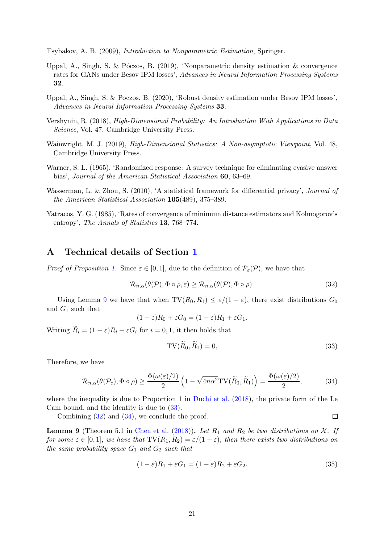<span id="page-20-4"></span>Tsybakov, A. B. (2009), Introduction to Nonparametric Estimation, Springer.

- <span id="page-20-6"></span>Uppal, A., Singh, S. & Póczos, B. (2019), 'Nonparametric density estimation  $\&$  convergence rates for GANs under Besov IPM losses', Advances in Neural Information Processing Systems 32.
- <span id="page-20-5"></span>Uppal, A., Singh, S. & Poczos, B. (2020), 'Robust density estimation under Besov IPM losses', Advances in Neural Information Processing Systems 33.
- <span id="page-20-12"></span>Vershynin, R. (2018), High-Dimensional Probability: An Introduction With Applications in Data Science, Vol. 47, Cambridge University Press.
- <span id="page-20-11"></span>Wainwright, M. J. (2019), High-Dimensional Statistics: A Non-asymptotic Viewpoint, Vol. 48, Cambridge University Press.
- <span id="page-20-1"></span>Warner, S. L. (1965), 'Randomized response: A survey technique for eliminating evasive answer bias', Journal of the American Statistical Association 60, 63–69.
- <span id="page-20-0"></span>Wasserman, L. & Zhou, S. (2010), 'A statistical framework for differential privacy', *Journal of* the American Statistical Association 105(489), 375–389.
- <span id="page-20-3"></span>Yatracos, Y. G. (1985), 'Rates of convergence of minimum distance estimators and Kolmogorov's entropy', The Annals of Statistics 13, 768–774.

## A Technical details of Section [1](#page-0-0)

*Proof of Proposition [1.](#page-4-2)* Since  $\varepsilon \in [0,1]$ , due to the definition of  $\mathcal{P}_{\varepsilon}(\mathcal{P})$ , we have that

<span id="page-20-8"></span>
$$
\mathcal{R}_{n,\alpha}(\theta(\mathcal{P}),\Phi\circ\rho,\varepsilon)\geq\mathcal{R}_{n,\alpha}(\theta(\mathcal{P}),\Phi\circ\rho).
$$
\n(32)

Using Lemma [9](#page-20-2) we have that when  $TV(R_0, R_1) \leq \varepsilon/(1-\varepsilon)$ , there exist distributions  $G_0$ and  $G_1$  such that

$$
(1 - \varepsilon)R_0 + \varepsilon G_0 = (1 - \varepsilon)R_1 + \varepsilon G_1.
$$

Writing  $R_i = (1 - \varepsilon)R_i + \varepsilon G_i$  for  $i = 0, 1$ , it then holds that

<span id="page-20-7"></span>
$$
TV(R_0, R_1) = 0,\t\t(33)
$$

 $\Box$ 

Therefore, we have

<span id="page-20-9"></span>
$$
\mathcal{R}_{n,\alpha}(\theta(\mathcal{P}_{\varepsilon}),\Phi\circ\rho)\geq\frac{\Phi(\omega(\varepsilon)/2)}{2}\left(1-\sqrt{4n\alpha^2}\mathrm{TV}(\widetilde{R}_0,\widetilde{R}_1)\right)=\frac{\Phi(\omega(\varepsilon)/2)}{2},\qquad(34)
$$

where the inequality is due to Proportion 1 in [Duchi et al.](#page-18-4) [\(2018](#page-18-4)), the private form of the Le Cam bound, and the identity is due to [\(33\)](#page-20-7).

Combining [\(32\)](#page-20-8) and [\(34\)](#page-20-9), we conclude the proof.

<span id="page-20-2"></span>**Lemma 9** (Theorem 5.1 in [Chen et al.](#page-17-11) [\(2018\)](#page-17-11)). Let  $R_1$  and  $R_2$  be two distributions on X. If for some  $\varepsilon \in [0,1]$ , we have that  $TV(R_1, R_2) = \varepsilon/(1-\varepsilon)$ , then there exists two distributions on the same probability space  $G_1$  and  $G_2$  such that

<span id="page-20-10"></span>
$$
(1 - \varepsilon)R_1 + \varepsilon G_1 = (1 - \varepsilon)R_2 + \varepsilon G_2.
$$
\n(35)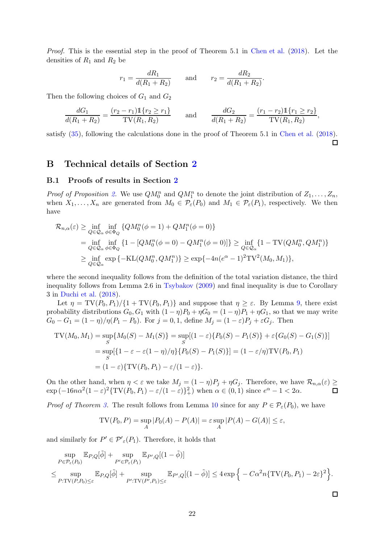Proof. This is the essential step in the proof of Theorem 5.1 in [Chen et al.](#page-17-11) [\(2018](#page-17-11)). Let the densities of  $R_1$  and  $R_2$  be

$$
r_1 = \frac{dR_1}{d(R_1 + R_2)}
$$
 and  $r_2 = \frac{dR_2}{d(R_1 + R_2)}$ .

Then the following choices of  $G_1$  and  $G_2$ 

$$
\frac{dG_1}{d(R_1+R_2)} = \frac{(r_2-r_1)\mathbb{1}\{r_2 \ge r_1\}}{\text{TV}(R_1, R_2)} \quad \text{and} \quad \frac{dG_2}{d(R_1+R_2)} = \frac{(r_1-r_2)\mathbb{1}\{r_1 \ge r_2\}}{\text{TV}(R_1, R_2)},
$$

satisfy  $(35)$ , following the calculations done in the proof of Theorem 5.1 in [Chen et al.](#page-17-11) [\(2018](#page-17-11)).

 $\Box$ 

 $\Box$ 

## B Technical details of Section [2](#page-4-0)

#### B.1 Proofs of results in Section [2](#page-4-0)

*Proof of Proposition [2.](#page-5-2)* We use  $QM_0^n$  and  $QM_1^n$  to denote the joint distribution of  $Z_1, \ldots, Z_n$ , when  $X_1, \ldots, X_n$  are generated from  $M_0 \in \mathcal{P}_{\varepsilon}(P_0)$  and  $M_1 \in \mathcal{P}_{\varepsilon}(P_1)$ , respectively. We then have

$$
\mathcal{R}_{n,\alpha}(\varepsilon) \ge \inf_{Q \in \mathcal{Q}_{\alpha}} \inf_{\phi \in \Phi_Q} \{ Q M_0^n(\phi = 1) + Q M_1^n(\phi = 0) \}
$$
  
=  $\inf_{Q \in \mathcal{Q}_{\alpha}} \inf_{\phi \in \Phi_Q} \{ 1 - [Q M_0^n(\phi = 0) - Q M_1^n(\phi = 0)] \} \ge \inf_{Q \in \mathcal{Q}_{\alpha}} \{ 1 - \text{TV}(Q M_0^n, Q M_1^n) \}$   
 $\ge \inf_{Q \in \mathcal{Q}_{\alpha}} \exp \{ - \text{KL}(Q M_0^n, Q M_1^n) \} \ge \exp \{ -4n(e^{\alpha} - 1)^2 \text{TV}^2(M_0, M_1) \},$ 

where the second inequality follows from the definition of the total variation distance, the third inequality follows from Lemma 2.6 in [Tsybakov](#page-20-4) [\(2009](#page-20-4)) and final inequality is due to Corollary 3 in [Duchi et al.](#page-18-4) [\(2018](#page-18-4)).

Let  $\eta = \text{TV}(P_0, P_1)/\{1 + \text{TV}(P_0, P_1)\}\$ and suppose that  $\eta \geq \varepsilon$ . By Lemma [9,](#page-20-2) there exist probability distributions  $G_0, G_1$  with  $(1 - \eta)P_0 + \eta G_0 = (1 - \eta)P_1 + \eta G_1$ , so that we may write  $G_0 - G_1 = (1 - \eta)/\eta(P_1 - P_0)$ . For  $j = 0, 1$ , define  $M_j = (1 - \varepsilon)P_j + \varepsilon G_j$ . Then

$$
TV(M_0, M_1) = \sup_{S} \{ M_0(S) - M_1(S) \} = \sup_{S} [(1 - \varepsilon) \{ P_0(S) - P_1(S) \} + \varepsilon \{ G_0(S) - G_1(S) \} ]
$$
  
= 
$$
\sup_{S} [\{ 1 - \varepsilon - \varepsilon (1 - \eta) / \eta \} \{ P_0(S) - P_1(S) \}] = (1 - \varepsilon / \eta) TV(P_0, P_1)
$$
  
= 
$$
(1 - \varepsilon) \{ TV(P_0, P_1) - \varepsilon / (1 - \varepsilon) \}.
$$

On the other hand, when  $\eta < \varepsilon$  we take  $M_j = (1 - \eta)P_j + \eta G_j$ . Therefore, we have  $\mathcal{R}_{n,\alpha}(\varepsilon) \geq$  $\exp(-16n\alpha^2(1-\varepsilon)^2\{\text{TV}(P_0,P_1)-\varepsilon/(1-\varepsilon)\}^2_+)$  when  $\alpha \in (0,1)$  since  $e^{\alpha}-1 < 2\alpha$ .

*Proof of Theorem [3.](#page-6-1)* The result follows from Lemma [10](#page-21-0) since for any  $P \in \mathcal{P}_{\varepsilon}(P_0)$ , we have

$$
TV(P_0, P) = \sup_A |P_0(A) - P(A)| = \varepsilon \sup_A |P(A) - G(A)| \le \varepsilon,
$$

and similarly for  $P' \in \mathcal{P}'_{\varepsilon}(P_1)$ . Therefore, it holds that

<span id="page-21-0"></span>
$$
\sup_{P \in \mathcal{P}_{\varepsilon}(P_0)} \mathbb{E}_{P,Q}[\tilde{\phi}] + \sup_{P' \in \mathcal{P}_{\varepsilon}(P_1)} \mathbb{E}_{P',Q}[(1-\tilde{\phi})]
$$
\n
$$
\leq \sup_{P: \text{TV}(P,P_0) \leq \varepsilon} \mathbb{E}_{P,Q}[\tilde{\phi}] + \sup_{P': \text{TV}(P',P_1) \leq \varepsilon} \mathbb{E}_{P',Q}[(1-\tilde{\phi})] \leq 4 \exp \Big\{ -C\alpha^2 n \{ \text{TV}(P_0,P_1) - 2\varepsilon \}^2 \Big\}.
$$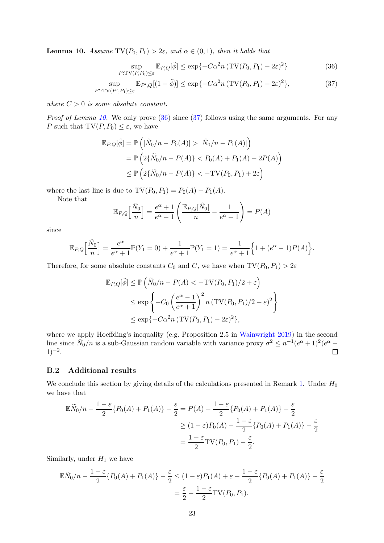**Lemma 10.** Assume  $TV(P_0, P_1) > 2\varepsilon$ , and  $\alpha \in (0, 1)$ , then it holds that

<span id="page-22-2"></span><span id="page-22-1"></span>
$$
\sup_{P:\text{TV}(P,P_0)\leq \varepsilon} \mathbb{E}_{P,Q}[\tilde{\phi}] \leq \exp\{-C\alpha^2 n \left(\text{TV}(P_0, P_1) - 2\varepsilon\right)^2\} \tag{36}
$$

$$
\sup_{P':\text{TV}(P',P_1)\leq\varepsilon} \mathbb{E}_{P',Q}[(1-\tilde{\phi})] \leq \exp\{-C\alpha^2 n \left(\text{TV}(P_0,P_1) - 2\varepsilon\right)^2\},\tag{37}
$$

where  $C > 0$  is some absolute constant.

*Proof of Lemma [10.](#page-21-0)* We only prove  $(36)$  since  $(37)$  follows using the same arguments. For any P such that  $TV(P, P_0) \leq \varepsilon$ , we have

$$
\mathbb{E}_{P,Q}[\tilde{\phi}] = \mathbb{P}\left(|\tilde{N}_0/n - P_0(A)| > |\tilde{N}_0/n - P_1(A)|\right)
$$
  
=  $\mathbb{P}\left(2\{\tilde{N}_0/n - P(A)\} < P_0(A) + P_1(A) - 2P(A)\right)$   
 $\leq \mathbb{P}\left(2\{\tilde{N}_0/n - P(A)\} < -\text{TV}(P_0, P_1) + 2\varepsilon\right)$ 

where the last line is due to  $TV(P_0, P_1) = P_0(A) - P_1(A)$ .

Note that

$$
\mathbb{E}_{P,Q}\left[\frac{\tilde{N}_0}{n}\right] = \frac{e^{\alpha} + 1}{e^{\alpha} - 1} \left(\frac{\mathbb{E}_{P,Q}[\hat{N}_0]}{n} - \frac{1}{e^{\alpha} + 1}\right) = P(A)
$$

since

$$
\mathbb{E}_{P,Q}\Big[\frac{\hat{N}_0}{n}\Big] = \frac{e^{\alpha}}{e^{\alpha}+1}\mathbb{P}(Y_1 = 0) + \frac{1}{e^{\alpha}+1}\mathbb{P}(Y_1 = 1) = \frac{1}{e^{\alpha}+1}\Big\{1 + (e^{\alpha} - 1)P(A)\Big\}.
$$

Therefore, for some absolute constants  $C_0$  and C, we have when  $TV(P_0, P_1) > 2\varepsilon$ 

$$
\mathbb{E}_{P,Q}[\tilde{\phi}] \le \mathbb{P}\left(\tilde{N}_0/n - P(A) < -\text{TV}(P_0, P_1)/2 + \varepsilon\right)
$$
\n
$$
\le \exp\left\{-C_0 \left(\frac{e^{\alpha} - 1}{e^{\alpha} + 1}\right)^2 n \left(\text{TV}(P_0, P_1)/2 - \varepsilon\right)^2\right\}
$$
\n
$$
\le \exp\left\{-C\alpha^2 n \left(\text{TV}(P_0, P_1) - 2\varepsilon\right)^2\right\},
$$

where we apply Hoeffding's inequality (e.g. Proposition 2.5 in [Wainwright 2019\)](#page-20-11) in the second line since  $\tilde{N}_0/n$  is a sub-Gaussian random variable with variance proxy  $\sigma^2 \leq n^{-1}(e^{\alpha}+1)^2(e^{\alpha}$  $1)^{-2}$ .

#### <span id="page-22-0"></span>B.2 Additional results

We conclude this section by giving details of the calculations presented in Remark [1.](#page-6-3) Under  $H_0$ we have that

$$
\mathbb{E}\widetilde{N}_0/n - \frac{1-\varepsilon}{2}\{P_0(A) + P_1(A)\} - \frac{\varepsilon}{2} = P(A) - \frac{1-\varepsilon}{2}\{P_0(A) + P_1(A)\} - \frac{\varepsilon}{2}
$$

$$
\geq (1-\varepsilon)P_0(A) - \frac{1-\varepsilon}{2}\{P_0(A) + P_1(A)\} - \frac{\varepsilon}{2}
$$

$$
= \frac{1-\varepsilon}{2}\mathrm{TV}(P_0, P_1) - \frac{\varepsilon}{2}.
$$

Similarly, under  $H_1$  we have

$$
\mathbb{E}\widetilde{N}_0/n - \frac{1-\varepsilon}{2}\{P_0(A) + P_1(A)\} - \frac{\varepsilon}{2} \le (1-\varepsilon)P_1(A) + \varepsilon - \frac{1-\varepsilon}{2}\{P_0(A) + P_1(A)\} - \frac{\varepsilon}{2}
$$

$$
= \frac{\varepsilon}{2} - \frac{1-\varepsilon}{2}\text{TV}(P_0, P_1).
$$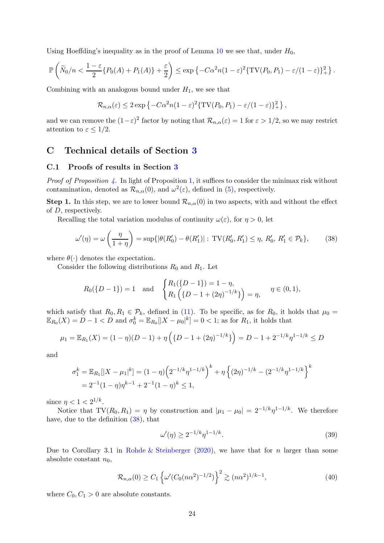Using Hoeffding's inequality as in the proof of Lemma [10](#page-21-0) we see that, under  $H_0$ ,

$$
\mathbb{P}\left(\widetilde{N}_0/n < \frac{1-\varepsilon}{2}\{P_0(A) + P_1(A)\} + \frac{\varepsilon}{2}\right) \le \exp\left\{-C\alpha^2 n(1-\varepsilon)^2\{\text{TV}(P_0, P_1) - \varepsilon/(1-\varepsilon)\}^2_+\right\}.
$$

Combining with an analogous bound under  $H_1$ , we see that

$$
\mathcal{R}_{n,\alpha}(\varepsilon) \leq 2 \exp \left\{-C\alpha^2 n (1-\varepsilon)^2 \{ \mathrm{TV}(P_0,P_1) - \varepsilon/(1-\varepsilon) \}_{+}^2 \right\},\,
$$

and we can remove the  $(1-\varepsilon)^2$  factor by noting that  $\mathcal{R}_{n,\alpha}(\varepsilon) = 1$  for  $\varepsilon > 1/2$ , so we may restrict attention to  $\varepsilon \leq 1/2$ .

## C Technical details of Section [3](#page-7-0)

#### C.1 Proofs of results in Section [3](#page-7-0)

*Proof of Proposition [4.](#page-8-0)* In light of Proposition [1,](#page-4-2) it suffices to consider the minimax risk without contamination, denoted as  $\mathcal{R}_{n,\alpha}(0)$ , and  $\omega^2(\varepsilon)$ , defined in [\(5\)](#page-4-1), respectively.

Step 1. In this step, we are to lower bound  $\mathcal{R}_{n,\alpha}(0)$  in two aspects, with and without the effect of D, respectively.

Recalling the total variation modulus of continuity  $\omega(\varepsilon)$ , for  $\eta > 0$ , let

<span id="page-23-0"></span>
$$
\omega'(\eta) = \omega\left(\frac{\eta}{1+\eta}\right) = \sup\{|\theta(R'_0) - \theta(R'_1)| : \mathrm{TV}(R'_0, R'_1) \le \eta, R'_0, R'_1 \in \mathcal{P}_k\},\tag{38}
$$

where  $\theta(\cdot)$  denotes the expectation.

Consider the following distributions  $R_0$  and  $R_1$ . Let

$$
R_0({D-1}) = 1 \text{ and } \begin{cases} R_1({D-1}) = 1 - \eta, \\ R_1({D-1+(2\eta)^{-1/k}}) = \eta, \end{cases} \eta \in (0,1),
$$

which satisfy that  $R_0, R_1 \in \mathcal{P}_k$ , defined in [\(11\)](#page-8-1). To be specific, as for  $R_0$ , it holds that  $\mu_0 =$  $\mathbb{E}_{R_0}(X) = D - 1 < D$  and  $\sigma_0^k = \mathbb{E}_{R_0}[|X - \mu_0|^k] = 0 < 1$ ; as for  $R_1$ , it holds that

$$
\mu_1 = \mathbb{E}_{R_1}(X) = (1 - \eta)(D - 1) + \eta \left( \{ D - 1 + (2\eta)^{-1/k} \} \right) = D - 1 + 2^{-1/k} \eta^{1 - 1/k} \le D
$$

and

$$
\sigma_1^k = \mathbb{E}_{R_1}[|X - \mu_1|^k] = (1 - \eta) \left( 2^{-1/k} \eta^{1 - 1/k} \right)^k + \eta \left\{ (2\eta)^{-1/k} - (2^{-1/k} \eta^{1 - 1/k} \right\}^k
$$
  
=  $2^{-1} (1 - \eta) \eta^{k-1} + 2^{-1} (1 - \eta)^k \le 1$ ,

since  $\eta < 1 < 2^{1/k}$ .

Notice that  $TV(R_0, R_1) = \eta$  by construction and  $|\mu_1 - \mu_0| = 2^{-1/k} \eta^{1-1/k}$ . We therefore have, due to the definition  $(38)$ , that

<span id="page-23-2"></span>
$$
\omega'(\eta) \ge 2^{-1/k} \eta^{1-1/k}.
$$
\n(39)

Due to Corollary 3.1 in [Rohde & Steinberger](#page-19-1) [\(2020](#page-19-1)), we have that for n larger than some absolute constant  $n_0$ ,

<span id="page-23-1"></span>
$$
\mathcal{R}_{n,\alpha}(0) \ge C_1 \left\{ \omega'(C_0(n\alpha^2)^{-1/2}) \right\}^2 \gtrsim (n\alpha^2)^{1/k-1},\tag{40}
$$

where  $C_0, C_1 > 0$  are absolute constants.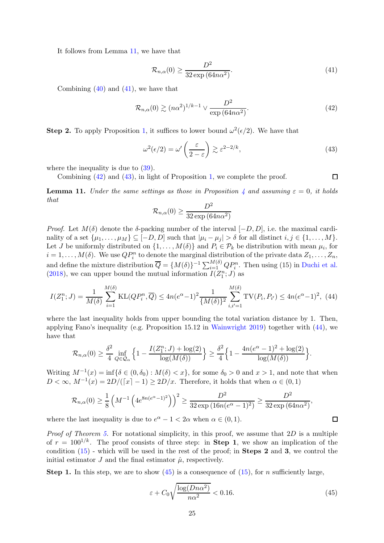It follows from Lemma [11,](#page-24-0) we have that

<span id="page-24-1"></span>
$$
\mathcal{R}_{n,\alpha}(0) \ge \frac{D^2}{32 \exp\left(64n\alpha^2\right)}.\tag{41}
$$

Combining  $(40)$  and  $(41)$ , we have that

<span id="page-24-2"></span>
$$
\mathcal{R}_{n,\alpha}(0) \gtrsim (n\alpha^2)^{1/k-1} \vee \frac{D^2}{\exp(64n\alpha^2)}.
$$
\n(42)

**Step 2.** To apply Proposition [1,](#page-4-2) it suffices to lower bound  $\omega^2(\epsilon/2)$ . We have that

<span id="page-24-3"></span>
$$
\omega^2(\epsilon/2) = \omega' \left(\frac{\epsilon}{2-\epsilon}\right) \gtrsim \epsilon^{2-2/k},\tag{43}
$$

where the inequality is due to  $(39)$ .

Combining  $(42)$  and  $(43)$ , in light of Proposition [1,](#page-4-2) we complete the proof.

<span id="page-24-0"></span>**Lemma 11.** Under the same settings as those in Proposition [4](#page-8-0) and assuming  $\varepsilon = 0$ , it holds that

$$
\mathcal{R}_{n,\alpha}(0) \ge \frac{D^2}{32 \exp{(64n\alpha^2)}}
$$

Proof. Let  $M(\delta)$  denote the δ-packing number of the interval  $[-D, D]$ , i.e. the maximal cardinality of a set  $\{\mu_1, \ldots, \mu_M\} \subseteq [-D, D]$  such that  $|\mu_i - \mu_j| > \delta$  for all distinct  $i, j \in \{1, \ldots, M\}$ . Let *J* be uniformly distributed on  $\{1, \ldots, M(\delta)\}\$  and  $P_i \in \mathcal{P}_k$  be distribution with mean  $\mu_i$ , for  $i = 1, \ldots, M(\delta)$ . We use  $QP_i^n$  to denote the marginal distribution of the private data  $Z_1, \ldots, Z_n$ , and define the mixture distribution  $\overline{Q} = \{M(\delta)\}^{-1} \sum_{i=1}^{M(\delta)} Q P_i^n$ . Then using (15) in [Duchi et al.](#page-18-4) [\(2018](#page-18-4)), we can upper bound the mutual information  $I(Z_1^n; J)$  as

<span id="page-24-4"></span>
$$
I(Z_1^n; J) = \frac{1}{M(\delta)} \sum_{i=1}^{M(\delta)} \text{KL}(QP_i^n, \overline{Q}) \le 4n(e^{\alpha} - 1)^2 \frac{1}{\{M(\delta)\}^2} \sum_{i, i'=1}^{M(\delta)} \text{TV}(P_i, P_{i'}) \le 4n(e^{\alpha} - 1)^2, \tag{44}
$$

where the last inequality holds from upper bounding the total variation distance by 1. Then, applying Fano's inequality (e.g. Proposition 15.12 in [Wainwright 2019](#page-20-11)) together with [\(44\)](#page-24-4), we have that

$$
\mathcal{R}_{n,\alpha}(0) \ge \frac{\delta^2}{4} \inf_{Q \in \mathcal{Q}_{\alpha}} \left\{ 1 - \frac{I(Z_1^n; J) + \log(2)}{\log(M(\delta))} \right\} \ge \frac{\delta^2}{4} \left\{ 1 - \frac{4n(e^{\alpha} - 1)^2 + \log(2)}{\log(M(\delta))} \right\}.
$$

Writing  $M^{-1}(x) = \inf \{ \delta \in (0, \delta_0) : M(\delta) < x \}$ , for some  $\delta_0 > 0$  and  $x > 1$ , and note that when  $D < \infty$ ,  $M^{-1}(x) = 2D/([x] - 1) \ge 2D/x$ . Therefore, it holds that when  $\alpha \in (0, 1)$ 

$$
\mathcal{R}_{n,\alpha}(0) \ge \frac{1}{8} \left( M^{-1} \left( 4e^{8n(e^{\alpha}-1)^2} \right) \right)^2 \ge \frac{D^2}{32 \exp(16n(e^{\alpha}-1)^2)} \ge \frac{D^2}{32 \exp(64n\alpha^2)},
$$

where the last inequality is due to  $e^{\alpha} - 1 < 2\alpha$  when  $\alpha \in (0, 1)$ .

*Proof of Theorem [5.](#page-9-0)* For notational simplicity, in this proof, we assume that  $2D$  is a multiple of  $r = 100^{1/k}$ . The proof consists of three step: in **Step 1**, we show an implication of the condition  $(15)$  - which will be used in the rest of the proof; in **Steps 2** and 3, we control the initial estimator  $J$  and the final estimator  $\hat{\mu}$ , respectively.

**Step 1.** In this step, we are to show  $(45)$  is a consequence of  $(15)$ , for n sufficiently large,

<span id="page-24-5"></span>
$$
\varepsilon + C_0 \sqrt{\frac{\log(Dn\alpha^2)}{n\alpha^2}} < 0.16. \tag{45}
$$

 $\Box$ 

 $\Box$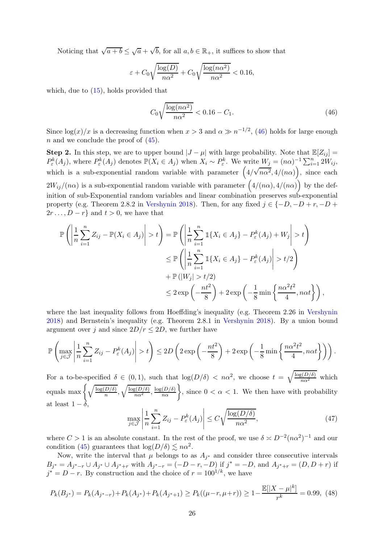Noticing that  $\sqrt{a+b} \leq \sqrt{a} + \sqrt{b}$ , for all  $a, b \in \mathbb{R}_+$ , it suffices to show that

$$
\varepsilon + C_0 \sqrt{\frac{\log(D)}{n\alpha^2}} + C_0 \sqrt{\frac{\log(n\alpha^2)}{n\alpha^2}} < 0.16,
$$

which, due to [\(15\)](#page-9-3), holds provided that

<span id="page-25-0"></span>
$$
C_0 \sqrt{\frac{\log(n\alpha^2)}{n\alpha^2}} < 0.16 - C_1. \tag{46}
$$

Since  $\log(x)/x$  is a decreasing function when  $x > 3$  and  $\alpha \gg n^{-1/2}$ , [\(46\)](#page-25-0) holds for large enough n and we conclude the proof of  $(45)$ .

**Step 2.** In this step, we are to upper bound  $|J - \mu|$  with large probability. Note that  $\mathbb{E}[Z_{ii}] =$  $P_{\varepsilon}^{k}(A_j)$ , where  $P_{\varepsilon}^{k}(A_j)$  denotes  $\mathbb{P}(X_i \in A_j)$  when  $X_i \sim P_{\varepsilon}^{k}$ . We write  $W_j = (n\alpha)^{-1} \sum_{i=1}^{n} 2W_{ij}$ , which is a sub-exponential random variable with parameter  $(4/\sqrt{n\alpha^2}, 4/(n\alpha))$ , since each  $2W_{ij}/(n\alpha)$  is a sub-exponential random variable with parameter  $(4/(n\alpha), 4/(n\alpha))$  by the definition of sub-Exponential random variables and linear combination preserves sub-exponential property (e.g. Theorem 2.8.2 in [Vershynin 2018](#page-20-12)). Then, for any fixed  $j \in \{-D, -D + r, -D +$  $2r \dots, D - r$  and  $t > 0$ , we have that

$$
\mathbb{P}\left(\left|\frac{1}{n}\sum_{i=1}^{n}Z_{ij} - \mathbb{P}(X_i \in A_j)\right| > t\right) = \mathbb{P}\left(\left|\frac{1}{n}\sum_{i=1}^{n}\mathbb{1}\{X_i \in A_j\} - P_{\varepsilon}^k(A_j) + W_j\right| > t\right)
$$
  

$$
\leq \mathbb{P}\left(\left|\frac{1}{n}\sum_{i=1}^{n}\mathbb{1}\{X_i \in A_j\} - P_{\varepsilon}^k(A_j)\right| > t/2\right)
$$
  

$$
+ \mathbb{P}(|W_j| > t/2)
$$
  

$$
\leq 2 \exp\left(-\frac{nt^2}{8}\right) + 2 \exp\left(-\frac{1}{8}\min\left\{\frac{n\alpha^2 t^2}{4}, n\alpha t\right\}\right),
$$

where the last inequality follows from Hoeffding's inequality (e.g. Theorem 2.26 in [Vershynin](#page-20-12) [2018\)](#page-20-12) and Bernstein's inequality (e.g. Theorem 2.8.1 in [Vershynin 2018](#page-20-12)). By a union bound argument over j and since  $2D/r \leq 2D$ , we further have

$$
\mathbb{P}\left(\max_{j\in\mathcal{J}}\left|\frac{1}{n}\sum_{i=1}^n Z_{ij} - P_{\varepsilon}^k(A_j)\right| > t\right) \le 2D\left(2\exp\left(-\frac{nt^2}{8}\right) + 2\exp\left(-\frac{1}{8}\min\left\{\frac{n\alpha^2t^2}{4}, n\alpha t\right\}\right)\right).
$$

For a to-be-specified  $\delta \in (0,1)$ , such that  $\log(D/\delta) < n\alpha^2$ , we choose  $t = \sqrt{\frac{\log(D/\delta)}{n\alpha^2}}$  which equals max  $\bigg\{\sqrt{\frac{\log(D/\delta)}{n}}\bigg\}$  $\frac{\overline{D/\delta}}{n}, \sqrt{\frac{\log(D/\delta)}{n\alpha}}, \frac{\log(D/\delta)}{n\alpha}$ , since  $0 < \alpha < 1$ . We then have with probability at least  $1-\tilde{\delta}$ 

<span id="page-25-1"></span>
$$
\max_{j \in \mathcal{J}} \left| \frac{1}{n} \sum_{i=1}^{n} Z_{ij} - P_{\varepsilon}^{k}(A_{j}) \right| \le C \sqrt{\frac{\log(D/\delta)}{n\alpha^{2}}},\tag{47}
$$

where  $C > 1$  is an absolute constant. In the rest of the proof, we use  $\delta \approx D^{-2} (n \alpha^2)^{-1}$  and our condition [\(45\)](#page-24-5) guarantees that  $\log(D/\delta) \lesssim n\alpha^2$ .

Now, write the interval that  $\mu$  belongs to as  $A_{j^*}$  and consider three consecutive intervals  $B_{j^*} = A_{j^*-r} \cup A_{j^*} \cup A_{j^*+r}$  with  $A_{j^*-r} = (-D-r, -D)$  if  $j^* = -D$ , and  $A_{j^*+r} = (D, D+r)$  if  $j^* = D - r$ . By construction and the choice of  $r = 100^{1/k}$ , we have

<span id="page-25-2"></span>
$$
P_k(B_{j^*}) = P_k(A_{j^*-r}) + P_k(A_{j^*}) + P_k(A_{j^*+1}) \ge P_k((\mu - r, \mu + r)) \ge 1 - \frac{\mathbb{E}[|X - \mu|^k]}{r^k} = 0.99, \tag{48}
$$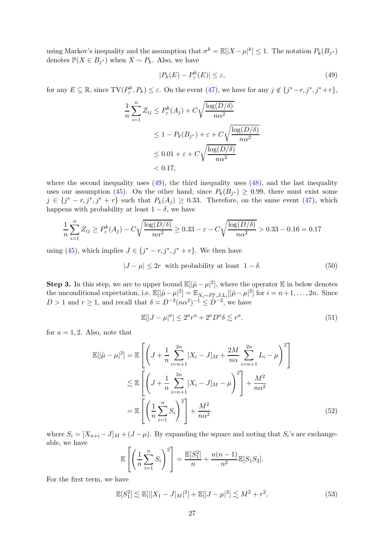using Markov's inequality and the assumption that  $\sigma^k = \mathbb{E}[|X - \mu|^k] \leq 1$ . The notation  $P_k(B_{j^*})$ denotes  $\mathbb{P}(X \in B_{j^*})$  when  $X \sim P_k$ . Also, we have

<span id="page-26-0"></span>
$$
|P_k(E) - P_{\varepsilon}^k(E)| \le \varepsilon,\tag{49}
$$

for any  $E \subseteq \mathbb{R}$ , since  $\text{TV}(P^k_{\varepsilon}, P_k) \leq \varepsilon$ . On the event  $(47)$ , we have for any  $j \notin \{j^* - r, j^*, j^* + r\}$ ,

$$
\frac{1}{n} \sum_{i=1}^{n} Z_{ij} \le P_{\varepsilon}^{k}(A_{j}) + C \sqrt{\frac{\log(D/\delta)}{n\alpha^{2}}}
$$
  

$$
\le 1 - P_{k}(B_{j^{*}}) + \varepsilon + C \sqrt{\frac{\log(D/\delta)}{n\alpha^{2}}}
$$
  

$$
\le 0.01 + \varepsilon + C \sqrt{\frac{\log(D/\delta)}{n\alpha^{2}}}
$$
  

$$
< 0.17,
$$

where the second inequality uses  $(49)$ , the third inequality uses  $(48)$ , and the last inequality uses our assumption [\(45\)](#page-24-5). On the other hand, since  $P_k(B_{j^*}) \geq 0.99$ , there must exist some  $j \in \{j^* - r, j^*, j^* + r\}$  such that  $P_k(A_j) \geq 0.33$ . Therefore, on the same event [\(47\)](#page-25-1), which happens with probability at least  $1 - \delta$ , we have

$$
\frac{1}{n}\sum_{i=1}^{n} Z_{ij} \ge P_{\varepsilon}^{k}(A_{j}) - C\sqrt{\frac{\log(D/\delta)}{n\alpha^{2}}} \ge 0.33 - \varepsilon - C\sqrt{\frac{\log(D/\delta)}{n\alpha^{2}}} > 0.33 - 0.16 = 0.17
$$

using [\(45\)](#page-24-5), which implies  $J \in \{j^* - r, j^*, j^* + r\}$ . We then have

$$
|J - \mu| \le 2r \quad \text{with probability at least} \quad 1 - \delta. \tag{50}
$$

**Step 3.** In this step, we are to upper bound  $\mathbb{E}[|\hat{\mu} - \mu|^2]$ , where the operator  $\mathbb{E}$  in below denotes the unconditional expectation, i.e.  $\mathbb{E}[|\hat{\mu} - \mu|^2] = \mathbb{E}_{X_i \sim P_{\varepsilon}^k, J, L_i} [|\hat{\mu} - \mu|^2]$  for  $i = n+1, \ldots, 2n$ . Since  $D > 1$  and  $r \ge 1$ , and recall that  $\delta \asymp D^{-2} (n \alpha^2)^{-1} \le D^{-2}$ , we have

<span id="page-26-3"></span><span id="page-26-1"></span>
$$
\mathbb{E}[|J-\mu|^a] \le 2^a r^a + 2^a D^a \delta \lesssim r^a. \tag{51}
$$

for  $a = 1, 2$ . Also, note that

$$
\mathbb{E}[\|\hat{\mu} - \mu\|^2] = \mathbb{E}\left[\left(J + \frac{1}{n} \sum_{i=n+1}^{2n} [X_i - J]_M + \frac{2M}{n\alpha} \sum_{i=n+1}^{2n} L_i - \mu\right)^2\right] \\
\lesssim \mathbb{E}\left[\left(J + \frac{1}{n} \sum_{i=n+1}^{2n} [X_i - J]_M - \mu\right)^2\right] + \frac{M^2}{n\alpha^2} \\
= \mathbb{E}\left[\left(\frac{1}{n} \sum_{i=1}^n S_i\right)^2\right] + \frac{M^2}{n\alpha^2} \tag{52}
$$

where  $S_i = [X_{n+i} - J]_M + (J - \mu)$ . By expanding the square and noting that  $S_i$ 's are exchangeable, we have

$$
\mathbb{E}\left[\left(\frac{1}{n}\sum_{i=1}^{n}S_{i}\right)^{2}\right]=\frac{\mathbb{E}[S_{1}^{2}]}{n}+\frac{n(n-1)}{n^{2}}\mathbb{E}[S_{1}S_{2}].
$$

For the first term, we have

<span id="page-26-2"></span>
$$
\mathbb{E}[S_1^2] \lesssim \mathbb{E}[|[X_1 - J]_M|^2] + \mathbb{E}[|J - \mu|^2] \lesssim M^2 + r^2,
$$
\n(53)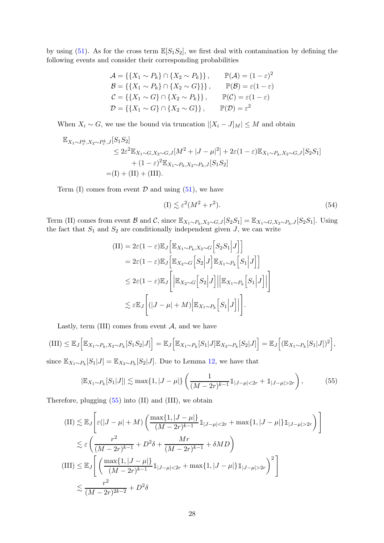by using [\(51\)](#page-26-1). As for the cross term  $\mathbb{E}[S_1S_2]$ , we first deal with contamination by defining the following events and consider their corresponding probabilities

$$
\mathcal{A} = \{\{X_1 \sim P_k\} \cap \{X_2 \sim P_k\}\}, \qquad \mathbb{P}(\mathcal{A}) = (1 - \varepsilon)^2
$$
  
\n
$$
\mathcal{B} = \{\{X_1 \sim P_k\} \cap \{X_2 \sim G\}\}\}, \qquad \mathbb{P}(\mathcal{B}) = \varepsilon (1 - \varepsilon)
$$
  
\n
$$
\mathcal{C} = \{\{X_1 \sim G\} \cap \{X_2 \sim P_k\}\}, \qquad \mathbb{P}(\mathcal{C}) = \varepsilon (1 - \varepsilon)
$$
  
\n
$$
\mathcal{D} = \{\{X_1 \sim G\} \cap \{X_2 \sim G\}\}, \qquad \mathbb{P}(\mathcal{D}) = \varepsilon^2
$$

When  $X_i \sim G$ , we use the bound via truncation  $|[X_i - J]_M| \leq M$  and obtain

$$
\mathbb{E}_{X_1 \sim P_{\varepsilon}^k, X_2 \sim P_{\varepsilon}^k, J} [S_1 S_2]
$$
  
\n
$$
\leq 2\varepsilon^2 \mathbb{E}_{X_1 \sim G, X_2 \sim G, J} [M^2 + |J - \mu|^2] + 2\varepsilon (1 - \varepsilon) \mathbb{E}_{X_1 \sim P_k, X_2 \sim G, J} [S_2 S_1]
$$
  
\n
$$
+ (1 - \varepsilon)^2 \mathbb{E}_{X_1 \sim P_k, X_2 \sim P_k, J} [S_1 S_2]
$$
  
\n
$$
= (I) + (II) + (III).
$$

Term (I) comes from event  $\mathcal D$  and using [\(51\)](#page-26-1), we have

<span id="page-27-1"></span>
$$
(I) \lesssim \varepsilon^2 (M^2 + r^2). \tag{54}
$$

Term (II) comes from event B and C, since  $\mathbb{E}_{X_1 \sim P_k, X_2 \sim G, J}[S_2S_1] = \mathbb{E}_{X_1 \sim G, X_2 \sim P_k, J}[S_2S_1]$ . Using the fact that  $S_1$  and  $S_2$  are conditionally independent given  $J$ , we can write

$$
\begin{split} \text{(II)}&=2\varepsilon(1-\varepsilon)\mathbb{E}_{J}\Big[\mathbb{E}_{X_{1}\sim P_{k},X_{2}\sim G}\Big[S_{2}S_{1}\Big|J\Big]\Big] \\ &=2\varepsilon(1-\varepsilon)\mathbb{E}_{J}\Big[\mathbb{E}_{X_{2}\sim G}\Big[S_{2}\Big|J\Big]\mathbb{E}_{X_{1}\sim P_{k}}\Big[S_{1}\Big|J\Big]\Big] \\ &\leq 2\varepsilon(1-\varepsilon)\mathbb{E}_{J}\Bigg[\Big|\mathbb{E}_{X_{2}\sim G}\Big[S_{2}\Big|J\Big]\Big|\Big|\mathbb{E}_{X_{1}\sim P_{k}}\Big[S_{1}\Big|J\Big]\Big|\Bigg] \\ &\lesssim \varepsilon\mathbb{E}_{J}\Bigg[\big(|J-\mu|+M)\Big|\mathbb{E}_{X_{1}\sim P_{k}}\Big[S_{1}\Big|J\Big]\Big|\Bigg]. \end{split}
$$

Lastly, term (III) comes from event  $A$ , and we have

 $\text{(III)} \leq \mathbb{E}_{J}\Big[\mathbb{E}_{X_{1} \sim P_{k}, X_{2} \sim P_{k}}[S_{1}S_{2}|J]\Big] = \mathbb{E}_{J}\Big[\mathbb{E}_{X_{1} \sim P_{k}}[S_{1}|J]\mathbb{E}_{X_{2} \sim P_{k}}[S_{2}|J]\Big] = \mathbb{E}_{J}\Big[(\mathbb{E}_{X_{1} \sim P_{k}}[S_{1}|J])^{2}\Big],$ since  $\mathbb{E}_{X_1 \sim P_k}[S_1 | J] = \mathbb{E}_{X_2 \sim P_k}[S_2 | J]$ . Due to Lemma [12,](#page-28-0) we have that

<span id="page-27-0"></span>
$$
|\mathbb{E}_{X_1 \sim P_k}[S_1|J]| \lesssim \max\{1, |J - \mu|\} \left( \frac{1}{(M - 2r)^{k-1}} 1_{|J - \mu| < 2r} + 1_{|J - \mu| > 2r} \right),\tag{55}
$$

Therefore, plugging  $(55)$  into  $(II)$  and  $(III)$ , we obtain

$$
\begin{split} \text{(II)} &\lesssim \mathbb{E}_{J} \Bigg[ \varepsilon (|J - \mu| + M) \left( \frac{\max\{1, |J - \mu|\}}{(M - 2r)^{k - 1}} \mathbbm{1}_{|J - \mu| < 2r} + \max\{1, |J - \mu|\} \mathbbm{1}_{|J - \mu| > 2r} \right) \Bigg] \\ &\lesssim \varepsilon \left( \frac{r^2}{(M - 2r)^{k - 1}} + D^2 \delta + \frac{Mr}{(M - 2r)^{k - 1}} + \delta MD \right) \\ \text{(III)} &\leq \mathbb{E}_{J} \Bigg[ \left( \frac{\max\{1, |J - \mu|\}}{(M - 2r)^{k - 1}} \mathbbm{1}_{|J - \mu| < 2r} + \max\{1, |J - \mu|\} \mathbbm{1}_{|J - \mu| > 2r} \right)^2 \Bigg] \\ &\lesssim \frac{r^2}{(M - 2r)^{2k - 2}} + D^2 \delta \end{split}
$$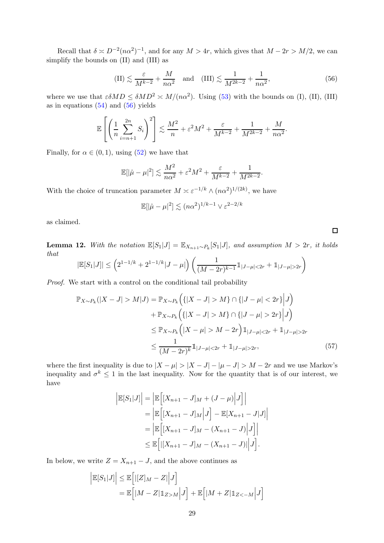Recall that  $\delta \asymp D^{-2}(n\alpha^2)^{-1}$ , and for any  $M > 4r$ , which gives that  $M - 2r > M/2$ , we can simplify the bounds on (II) and (III) as

<span id="page-28-1"></span>(II) 
$$
\lesssim \frac{\varepsilon}{M^{k-2}} + \frac{M}{n\alpha^2}
$$
 and (III)  $\lesssim \frac{1}{M^{2k-2}} + \frac{1}{n\alpha^2}$ , (56)

where we use that  $\varepsilon \delta M D \leq \delta M D^2 \approx M/(n\alpha^2)$ . Using [\(53\)](#page-26-2) with the bounds on (I), (II), (III) as in equations  $(54)$  and  $(56)$  yields

$$
\mathbb{E}\left[\left(\frac{1}{n}\sum_{i=n+1}^{2n}S_i\right)^2\right] \lesssim \frac{M^2}{n} + \varepsilon^2 M^2 + \frac{\varepsilon}{M^{k-2}} + \frac{1}{M^{2k-2}} + \frac{M}{n\alpha^2}.
$$

Finally, for  $\alpha \in (0,1)$ , using  $(52)$  we have that

$$
\mathbb{E}[|\hat{\mu} - \mu|^2] \lesssim \frac{M^2}{n\alpha^2} + \varepsilon^2 M^2 + \frac{\varepsilon}{M^{k-2}} + \frac{1}{M^{2k-2}}.
$$

With the choice of truncation parameter  $M \approx \varepsilon^{-1/k} \wedge (n\alpha^2)^{1/(2k)}$ , we have

$$
\mathbb{E}[|\hat{\mu} - \mu|^2] \lesssim (n\alpha^2)^{1/k - 1} \vee \varepsilon^{2 - 2/k}
$$

as claimed.

<span id="page-28-0"></span>**Lemma 12.** With the notation  $\mathbb{E}[S_1|J] = \mathbb{E}_{X_{n+1} \sim P_k}[S_1|J]$ , and assumption  $M > 2r$ , it holds that

$$
|\mathbb{E}[S_1|J]| \le \left(2^{1-1/k} + 2^{1-1/k}|J-\mu|\right) \left(\frac{1}{(M-2r)^{k-1}}1_{|J-\mu|<2r} + 1_{|J-\mu|>2r}\right)
$$

Proof. We start with a control on the conditional tail probability

$$
\mathbb{P}_{X \sim P_k}(|X - J| > M|J) = \mathbb{P}_{X \sim P_k} \Big( \{|X - J| > M\} \cap \{|J - \mu| < 2r\} \Big| J \Big) \n+ \mathbb{P}_{X \sim P_k} \Big( \{|X - J| > M\} \cap \{|J - \mu| > 2r\} \Big| J \Big) \n\leq \mathbb{P}_{X \sim P_k} \Big( |X - \mu| > M - 2r \Big) \mathbb{1}_{|J - \mu| < 2r} + \mathbb{1}_{|J - \mu| > 2r} \n\leq \frac{1}{(M - 2r)^k} \mathbb{1}_{|J - \mu| < 2r} + \mathbb{1}_{|J - \mu| > 2r},
$$
\n(57)

where the first inequality is due to  $|X - \mu| > |X - J| - |\mu - J| > M - 2r$  and we use Markov's inequality and  $\sigma^k \leq 1$  in the last inequality. Now for the quantity that is of our interest, we have

$$
\begin{aligned} \left| \mathbb{E}[S_1|J] \right| &= \left| \mathbb{E}\left[ [X_{n+1} - J]_M + (J - \mu) \Big| J \right] \right| \\ &= \left| \mathbb{E}\left[ [X_{n+1} - J]_M \Big| J \right] - \mathbb{E}[X_{n+1} - J|J] \right| \\ &= \left| \mathbb{E}\left[ [X_{n+1} - J]_M - (X_{n+1} - J) \Big| J \right] \right| \\ &\leq \mathbb{E}\left[ \left| [X_{n+1} - J]_M - (X_{n+1} - J) \Big| J \right]. \end{aligned}
$$

In below, we write  $Z = X_{n+1} - J$ , and the above continues as

$$
\begin{aligned} \left| \mathbb{E}[S_1|J] \right| &\leq \mathbb{E}\Big[ |[Z]_M - Z| \Big| J \Big] \\ &= \mathbb{E}\Big[ |M - Z| \mathbb{1}_{Z > M} \Big| J \Big] + \mathbb{E}\Big[ |M + Z| \mathbb{1}_{Z < -M} \Big| J \Big] \end{aligned}
$$

<span id="page-28-2"></span> $\Box$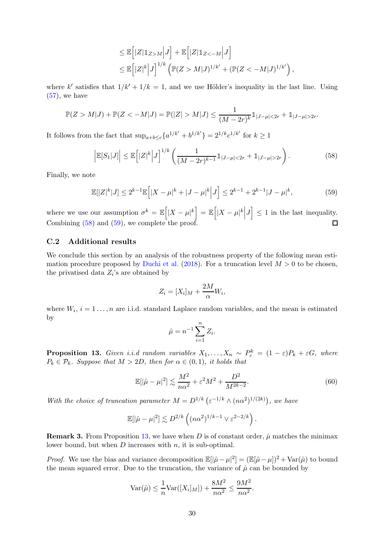$$
\leq \mathbb{E}\left[|Z|\mathbb{1}_{Z>M}\Big|J\right] + \mathbb{E}\left[|Z|\mathbb{1}_{Z<-M}\Big|J\right]
$$
  

$$
\leq \mathbb{E}\left[|Z|^k\Big|J\right]^{1/k} \left(\mathbb{P}(Z>M|J)^{1/k'} + \left(\mathbb{P}(Z<-M|J)^{1/k'}\right),\right.
$$

where k' satisfies that  $1/k' + 1/k = 1$ , and we use Hölder's inequality in the last line. Using  $(57)$ , we have

$$
\mathbb{P}(Z > M|J) + \mathbb{P}(Z < -M|J) = \mathbb{P}(|Z| > M|J) \le \frac{1}{(M - 2r)^k} \mathbb{1}_{|J-\mu| < 2r} + \mathbb{1}_{|J-\mu| > 2r}.
$$

It follows from the fact that  $\sup_{a+b\leq c} \{a^{1/k'} + b^{1/k'}\} = 2^{1/k}c^{1/k'}$  for  $k \geq 1$ 

<span id="page-29-2"></span>
$$
\left| \mathbb{E}[S_1|J] \right| \le \mathbb{E} \left[ |Z|^k \middle| J \right]^{1/k} \left( \frac{1}{(M - 2r)^{k-1}} \mathbb{1}_{|J-\mu| < 2r} + \mathbb{1}_{|J-\mu| > 2r} \right). \tag{58}
$$

Finally, we note

<span id="page-29-3"></span>
$$
\mathbb{E}[|Z|^k|J] \le 2^{k-1} \mathbb{E}\Big[|X - \mu|^k + |J - \mu|^k\Big|J\Big] \le 2^{k-1} + 2^{k-1}|J - \mu|^k,\tag{59}
$$

where we use our assumption  $\sigma^k = \mathbb{E} \Big[ |X - \mu|^k \Big] = \mathbb{E} \Big[ |X - \mu|^k \Big| J \Big] \leq 1$  in the last inequality. Combining [\(58\)](#page-29-2) and [\(59\)](#page-29-3), we complete the proof.  $\Box$ 

#### <span id="page-29-1"></span>C.2 Additional results

We conclude this section by an analysis of the robustness property of the following mean esti-mation procedure proposed by [Duchi et al.](#page-18-4) [\(2018](#page-18-4)). For a truncation level  $M > 0$  to be chosen, the privatised data  $Z_i$ 's are obtained by

$$
Z_i = [X_i]_M + \frac{2M}{\alpha} W_i,
$$

where  $W_i$ ,  $i = 1 \ldots, n$  are i.i.d. standard Laplace random variables, and the mean is estimated by

$$
\hat{\mu} = n^{-1} \sum_{i=1}^{n} Z_i.
$$

<span id="page-29-0"></span>**Proposition 13.** Given i.i.d random variables  $X_1, \ldots, X_n \sim P_{\varepsilon}^k = (1 - \varepsilon)P_k + \varepsilon G$ , where  $P_k \in \mathcal{P}_k$ . Suppose that  $M > 2D$ , then for  $\alpha \in (0,1)$ , it holds that

$$
\mathbb{E}[\left|\hat{\mu} - \mu\right|^2] \lesssim \frac{M^2}{n\alpha^2} + \varepsilon^2 M^2 + \frac{D^2}{M^{2k - 2}}.\tag{60}
$$

With the choice of truncation parameter  $M = D^{1/k} \left( \varepsilon^{-1/k} \wedge (n \alpha^2)^{1/(2k)} \right)$ , we have

$$
\mathbb{E}[|\hat{\mu} - \mu|^2] \lesssim D^{2/k} \left( (n\alpha^2)^{1/k - 1} \vee \varepsilon^{2 - 2/k} \right).
$$

**Remark 3.** From Proposition [13,](#page-29-0) we have when D is of constant order,  $\hat{\mu}$  matches the minimax lower bound, but when  $D$  increases with  $n$ , it is sub-optimal.

*Proof.* We use the bias and variance decomposition  $\mathbb{E}[\hat{\mu} - \mu]^2] = (\mathbb{E}[\hat{\mu} - \mu])^2 + \text{Var}(\hat{\mu})$  to bound the mean squared error. Due to the truncation, the variance of  $\hat{\mu}$  can be bounded by

$$
\text{Var}(\hat{\mu}) \le \frac{1}{n} \text{Var}([X_i]_M]) + \frac{8M^2}{n\alpha^2} \le \frac{9M^2}{n\alpha^2}.
$$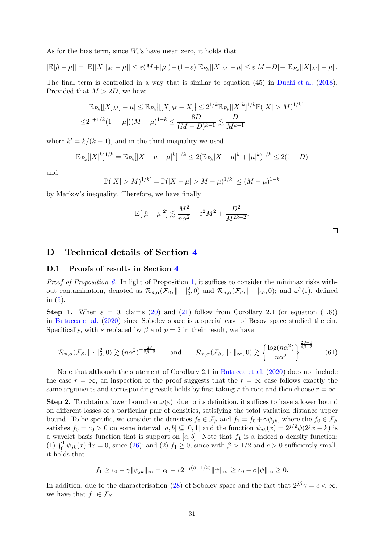As for the bias term, since  $W_i$ 's have mean zero, it holds that

$$
|\mathbb{E}[\hat{\mu}-\mu]|=|\mathbb{E}[[X_1]_M-\mu]|\leq \varepsilon(M+|\mu|)+(1-\varepsilon)|\mathbb{E}_{P_k}[[X]_M]-\mu|\leq \varepsilon|M+D|+|\mathbb{E}_{P_k}[[X]_M]-\mu|.
$$

The final term is controlled in a way that is similar to equation (45) in [Duchi et al.](#page-18-4) [\(2018](#page-18-4)). Provided that  $M > 2D$ , we have

$$
|\mathbb{E}_{P_k}[[X]_M] - \mu| \leq \mathbb{E}_{P_k} |[[X]_M - X]| \leq 2^{1/k} \mathbb{E}_{P_k} [|X|^k]^{1/k} \mathbb{P}(|X| > M)^{1/k'}
$$
  

$$
\leq 2^{1+1/k} (1+|\mu|)(M-\mu)^{1-k} \leq \frac{8D}{(M-D)^{k-1}} \lesssim \frac{D}{M^{k-1}}.
$$

where  $k' = k/(k-1)$ , and in the third inequality we used

$$
\mathbb{E}_{P_k}[|X|^k]^{1/k} = \mathbb{E}_{P_k}[|X - \mu + \mu|^k]^{1/k} \le 2(\mathbb{E}_{P_k}|X - \mu|^k + |\mu|^k)^{1/k} \le 2(1+D)
$$

and

$$
\mathbb{P}(|X| > M)^{1/k'} = \mathbb{P}(|X - \mu| > M - \mu)^{1/k'} \le (M - \mu)^{1-k}
$$

by Markov's inequality. Therefore, we have finally

$$
\mathbb{E}[|\hat{\mu} - \mu|^2] \lesssim \frac{M^2}{n\alpha^2} + \varepsilon^2 M^2 + \frac{D^2}{M^{2k-2}}.
$$

## D Technical details of Section [4](#page-11-0)

#### D.1 Proofs of results in Section [4](#page-11-0)

Proof of Proposition [6.](#page-12-0) In light of Proposition [1,](#page-4-2) it suffices to consider the minimax risks without contamination, denoted as  $\mathcal{R}_{n,\alpha}(\mathcal{F}_{\beta}, \|\cdot\|_2^2,0)$  and  $\mathcal{R}_{n,\alpha}(\mathcal{F}_{\beta}, \|\cdot\|_{\infty},0)$ ; and  $\omega^2(\varepsilon)$ , defined in  $(5)$ .

Step 1. When  $\varepsilon = 0$ , claims [\(20\)](#page-12-2) and [\(21\)](#page-12-3) follow from Corollary 2.1 (or equation (1.6)) in [Butucea et al.](#page-17-2) [\(2020](#page-17-2)) since Sobolev space is a special case of Besov space studied therein. Specifically, with s replaced by  $\beta$  and  $p = 2$  in their result, we have

<span id="page-30-0"></span>
$$
\mathcal{R}_{n,\alpha}(\mathcal{F}_{\beta}, \|\cdot\|_{2}^{2},0) \gtrsim (n\alpha^{2})^{-\frac{2\beta}{2\beta+2}} \quad \text{and} \quad \mathcal{R}_{n,\alpha}(\mathcal{F}_{\beta}, \|\cdot\|_{\infty},0) \gtrsim \left\{ \frac{\log(n\alpha^{2})}{n\alpha^{2}} \right\}^{\frac{2\beta-1}{4\beta+2}} \quad (61)
$$

Note that although the statement of Corollary 2.1 in [Butucea et al.](#page-17-2) [\(2020](#page-17-2)) does not include the case  $r = \infty$ , an inspection of the proof suggests that the  $r = \infty$  case follows exactly the same arguments and corresponding result holds by first taking r-th root and then choose  $r = \infty$ .

**Step 2.** To obtain a lower bound on  $\omega(\varepsilon)$ , due to its definition, it suffices to have a lower bound on different losses of a particular pair of densities, satisfying the total variation distance upper bound. To be specific, we consider the densities  $f_0 \in \mathcal{F}_{\beta}$  and  $f_1 = f_0 + \gamma \psi_{jk}$ , where the  $f_0 \in \mathcal{F}_{\beta}$ satisfies  $f_0 = c_0 > 0$  on some interval  $[a, b] \subseteq [0, 1]$  and the function  $\psi_{ik}(x) = 2^{j/2}\psi(2^{j}x - k)$  is a wavelet basis function that is support on  $[a, b]$ . Note that  $f_1$  is a indeed a density function: (1)  $\int_0^1 \psi_{jk}(x) dx = 0$ , since [\(26\)](#page-14-1); and (2)  $f_1 \ge 0$ , since with  $\beta > 1/2$  and  $c > 0$  sufficiently small, it holds that

$$
f_1 \ge c_0 - \gamma \|\psi_{jk}\|_{\infty} = c_0 - c2^{-j(\beta - 1/2)} \|\psi\|_{\infty} \ge c_0 - c \|\psi\|_{\infty} \ge 0.
$$

In addition, due to the characterisation [\(28\)](#page-14-3) of Sobolev space and the fact that  $2^{j\beta}\gamma = c < \infty$ , we have that  $f_1 \in \mathcal{F}_{\beta}$ .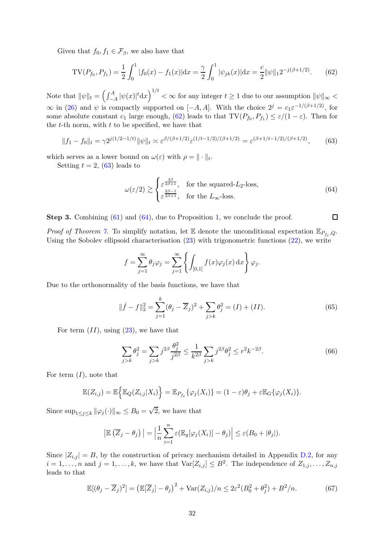Given that  $f_0, f_1 \in \mathcal{F}_{\beta}$ , we also have that

<span id="page-31-0"></span>
$$
TV(P_{f_0}, P_{f_1}) = \frac{1}{2} \int_0^1 |f_0(x) - f_1(x)| dx = \frac{\gamma}{2} \int_0^1 |\psi_{jk}(x)| dx = \frac{c}{2} ||\psi||_1 2^{-j(\beta + 1/2)}.
$$
 (62)

Note that  $\|\psi\|_t = \left(\int_{-t}^A f_t\right)$  $\int_{-A}^{A} |\psi(x)|^t \mathrm{d}x \Big)^{1/t} < \infty \text{ for any integer } t \geq 1 \text{ due to our assumption } \|\psi\|_{\infty} < \infty$  $\infty$  in [\(26\)](#page-14-1) and  $\psi$  is compactly supported on [-A, A]. With the choice  $2^j = c_1 \varepsilon^{-1/(\beta + 1/2)}$ , for some absolute constant  $c_1$  large enough, [\(62\)](#page-31-0) leads to that  $TV(P_{f_0}, P_{f_1}) \leq \varepsilon/(1-\varepsilon)$ . Then for the  $t$ -th norm, with  $t$  to be specified, we have that

<span id="page-31-1"></span>
$$
||f_1 - f_0||_t = \gamma 2^{j(1/2 - 1/t)} ||\psi||_t \asymp \varepsilon^{\beta/(\beta + 1/2)} \varepsilon^{(1/t - 1/2)/(\beta + 1/2)} = \varepsilon^{(\beta + 1/t - 1/2)/(\beta + 1/2)},
$$
(63)

which serves as a lower bound on  $\omega(\varepsilon)$  with  $\rho = || \cdot ||_t$ .

Setting  $t = 2$ , [\(63\)](#page-31-1) leads to

<span id="page-31-2"></span>
$$
\omega(\varepsilon/2) \gtrsim \begin{cases} \varepsilon^{\frac{4\beta}{2\beta+1}}, & \text{for the squared-}L_2\text{-loss}, \\ \varepsilon^{\frac{2\beta-1}{2\beta+1}}, & \text{for the } L_\infty\text{-loss}. \end{cases}
$$
 (64)

Step 3. Combining [\(61\)](#page-30-0) and [\(64\)](#page-31-2), due to Proposition [1,](#page-4-2) we conclude the proof.  $\Box$ 

*Proof of Theorem [7.](#page-13-0)* To simplify notation, let  $\mathbb{E}$  denote the unconditional expectation  $\mathbb{E}_{P_{f_{\varepsilon}},Q}$ . Using the Sobolev ellipsoid characterisation  $(23)$  with trigonometric functions  $(22)$ , we write

$$
f = \sum_{j=1}^{\infty} \theta_j \varphi_j = \sum_{j=1}^{\infty} \left\{ \int_{[0,1]} f(x) \varphi_j(x) dx \right\} \varphi_j.
$$

Due to the orthonormality of the basis functions, we have that

<span id="page-31-3"></span>
$$
\|\hat{f} - f\|_2^2 = \sum_{j=1}^k (\theta_j - \overline{Z}_j)^2 + \sum_{j>k} \theta_j^2 = (I) + (II). \tag{65}
$$

For term  $(II)$ , using  $(23)$ , we have that

<span id="page-31-4"></span>
$$
\sum_{j>k} \theta_j^2 = \sum_{j>k} j^{2\beta} \frac{\theta_j^2}{j^{2\beta}} \le \frac{1}{k^{2\beta}} \sum_{j>k} j^{2\beta} \theta_j^2 \le r^2 k^{-2\beta}.
$$
 (66)

For term  $(I)$ , note that

$$
\mathbb{E}(Z_{i,j}) = \mathbb{E}\Big\{\mathbb{E}_{Q}(Z_{i,j}|X_i)\Big\} = \mathbb{E}_{P_{f_{\varepsilon}}} \{\varphi_j(X_i)\} = (1-\varepsilon)\theta_j + \varepsilon \mathbb{E}_{G} \{\varphi_j(X_i)\}.
$$

Since  $\sup_{1 \leq j \leq k} ||\varphi_j(\cdot)||_{\infty} \leq B_0 = \sqrt{2}$ , we have that

$$
\left|\mathbb{E}\left(\overline{Z}_j-\theta_j\right)\right|=\left|\frac{1}{n}\sum_{i=1}^n\varepsilon\left(\mathbb{E}_g[\varphi_j(X_i)]-\theta_j\right)\right|\leq\varepsilon(B_0+|\theta_j|).
$$

Since  $|Z_{i,j}| = B$ , by the construction of privacy mechanism detailed in Appendix [D.2,](#page-34-0) for any  $i = 1, \ldots, n$  and  $j = 1, \ldots, k$ , we have that  $\text{Var}[Z_{i,j}] \leq B^2$ . The independence of  $Z_{1,j}, \ldots, Z_{n,j}$ leads to that

<span id="page-31-5"></span>
$$
\mathbb{E}[(\theta_j - \overline{Z}_j)^2] = \left(\mathbb{E}[\overline{Z}_j] - \theta_j\right)^2 + \text{Var}(Z_{i,j})/n \le 2\varepsilon^2 (B_0^2 + \theta_j^2) + B^2/n. \tag{67}
$$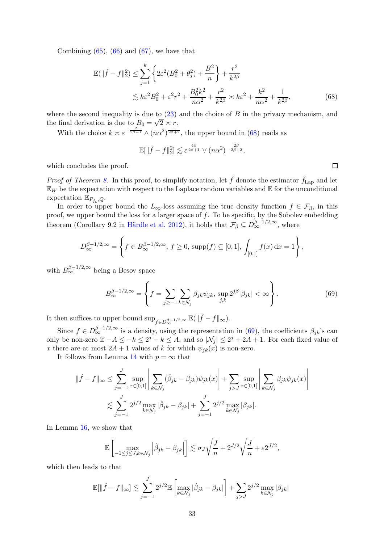Combining  $(65)$ ,  $(66)$  and  $(67)$ , we have that

$$
\mathbb{E}(\|\hat{f} - f\|_2^2) \le \sum_{j=1}^k \left\{ 2\varepsilon^2 (B_0^2 + \theta_j^2) + \frac{B^2}{n} \right\} + \frac{r^2}{k^{2\beta}} \n\lesssim k\varepsilon^2 B_0^2 + \varepsilon^2 r^2 + \frac{B_0^2 k^2}{n\alpha^2} + \frac{r^2}{k^{2\beta}} \asymp k\varepsilon^2 + \frac{k^2}{n\alpha^2} + \frac{1}{k^{2\beta}},
$$
\n(68)

where the second inequality is due to  $(23)$  and the choice of B in the privacy mechanism, and the final derivation is due to  $B_0 = \sqrt{2} \times r$ .

With the choice  $k \approx \varepsilon^{-\frac{2}{2\beta+1}} \wedge (n\alpha^2)^{\frac{1}{2\beta+2}}$ , the upper bound in [\(68\)](#page-32-0) reads as

$$
\mathbb{E}[\|\hat{f} - f\|_2^2] \lesssim \varepsilon^{\frac{4\beta}{2\beta+1}} \vee (n\alpha^2)^{-\frac{2\beta}{2\beta+2}},
$$

which concludes the proof.

*Proof of Theorem [8.](#page-14-0)* In this proof, to simplify notation, let  $\hat{f}$  denote the estimator  $\hat{f}_{\text{Lap}}$  and let  $\mathbb{E}_W$  be the expectation with respect to the Laplace random variables and  $\mathbb E$  for the unconditional expectation  $\mathbb{E}_{P_{f_{\varepsilon}},Q}$ .

In order to upper bound the  $L_{\infty}$ -loss assuming the true density function  $f \in \mathcal{F}_{\beta}$ , in this proof, we upper bound the loss for a larger space of  $f$ . To be specific, by the Sobolev embedding theorem (Corollary 9.2 in Härdle et al. 2012), it holds that  $\mathcal{F}_{\beta} \subseteq D_{\infty}^{\beta-1/2,\infty}$ , where

$$
D_{\infty}^{\beta-1/2,\infty} = \left\{ f \in B_{\infty}^{\beta-1/2,\infty}, \, f \ge 0, \, \text{supp}(f) \subseteq [0,1], \, \int_{[0,1]} f(x) \, dx = 1 \right\},\,
$$

with  $B_{\infty}^{\beta-1/2,\infty}$  being a Besov space

<span id="page-32-1"></span>
$$
B_{\infty}^{\beta - 1/2, \infty} = \left\{ f = \sum_{j \ge -1} \sum_{k \in \mathcal{N}_j} \beta_{jk} \psi_{jk}, \, \sup_{j,k} 2^{j\beta} |\beta_{jk}| < \infty \right\}.
$$
\n(69)

It then suffices to upper bound  $\sup_{f \in D^{\beta-1/2, \infty}} \mathbb{E}(\|\hat{f} - f\|_{\infty}).$ 

Since  $f \in D_{\infty}^{\beta-1/2,\infty}$  is a density, using the representation in [\(69\)](#page-32-1), the coefficients  $\beta_{jk}$ 's can only be non-zero if  $-A \leq -k \leq 2^j - k \leq A$ , and so  $|\mathcal{N}_j| \leq 2^j + 2A + 1$ . For each fixed value of x there are at most  $2A + 1$  values of k for which  $\psi_{ik}(x)$  is non-zero.

It follows from Lemma [14](#page-33-0) with  $p = \infty$  that

$$
\|\hat{f} - f\|_{\infty} \le \sum_{j=-1}^{J} \sup_{x \in [0,1]} \left| \sum_{k \in \mathcal{N}_j} (\hat{\beta}_{jk} - \beta_{jk}) \psi_{jk}(x) \right| + \sum_{j>J} \sup_{x \in [0,1]} \left| \sum_{k \in \mathcal{N}_j} \beta_{jk} \psi_{jk}(x) \right|
$$
  

$$
\lesssim \sum_{j=-1}^{J} 2^{j/2} \max_{k \in \mathcal{N}_j} |\hat{\beta}_{jk} - \beta_{jk}| + \sum_{j=-1}^{J} 2^{j/2} \max_{k \in \mathcal{N}_j} |\beta_{jk}|.
$$

In Lemma [16,](#page-33-1) we show that

$$
\mathbb{E}\left[\max_{-1\leq j\leq J,k\in\mathcal{N}_j}\left|\hat{\beta}_{jk}-\beta_{jk}\right|\right]\lesssim \sigma_J\sqrt{\frac{J}{n}}+2^{J/2}\sqrt{\frac{J}{n}}+\varepsilon2^{J/2},
$$

which then leads to that

$$
\mathbb{E}[\|\hat{f} - f\|_{\infty}] \lesssim \sum_{j=-1}^{J} 2^{j/2} \mathbb{E}\left[\max_{k \in \mathcal{N}_j} |\hat{\beta}_{jk} - \beta_{jk}|\right] + \sum_{j>J} 2^{j/2} \max_{k \in \mathcal{N}_j} |\beta_{jk}|
$$

<span id="page-32-0"></span> $\Box$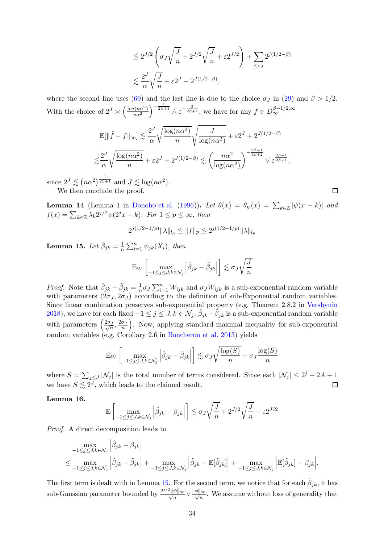$$
\lesssim 2^{J/2} \left( \sigma_J \sqrt{\frac{J}{n}} + 2^{J/2} \sqrt{\frac{J}{n}} + \varepsilon 2^{J/2} \right) + \sum_{j>J} 2^{j(1/2 - \beta)}
$$
  

$$
\lesssim \frac{2^J}{\alpha} \sqrt{\frac{J}{n}} + \varepsilon 2^J + 2^{J(1/2 - \beta)},
$$

where the second line uses [\(69\)](#page-32-1) and the last line is due to the choice  $\sigma_J$  in [\(29\)](#page-14-5) and  $\beta > 1/2$ . With the choice of  $2^J \n\asymp \left(\frac{\log(n\alpha^2)}{n\alpha^2}\right)$  $n\alpha^2$  $\int_{0}^{-\frac{1}{2\beta+1}} \wedge \varepsilon^{-\frac{2}{2\beta+1}},$  we have for any  $f \in D_{\infty}^{\beta-1/2,\infty}$ 

$$
\mathbb{E}[\|\hat{f} - f\|_{\infty}] \lesssim \frac{2^J}{\alpha} \sqrt{\frac{\log(n\alpha^2)}{n}} \sqrt{\frac{J}{\log(n\alpha^2)}} + \varepsilon 2^J + 2^{J(1/2-\beta)}
$$

$$
\lesssim \frac{2^J}{\alpha} \sqrt{\frac{\log(n\alpha^2)}{n}} + \varepsilon 2^J + 2^{J(1/2-\beta)} \lesssim \left(\frac{n\alpha^2}{\log(n\alpha^2)}\right)^{-\frac{2\beta-1}{4\beta+2}} \vee \varepsilon^{\frac{2\beta-1}{2\beta+1}},
$$

since  $2^J \lesssim (n\alpha^2)^{\frac{1}{2\beta+1}}$  and  $J \lesssim \log(n\alpha^2)$ . We then conclude the proof.

<span id="page-33-0"></span>**Lemma 14** (Lemma 1 in [Donoho et al.](#page-18-17) [\(1996](#page-18-17))). Let  $\theta(x) = \theta_{\psi}(x) = \sum_{k \in \mathbb{Z}} |\psi(x - k)|$  and  $f(x) = \sum_{k \in \mathbb{Z}} \lambda_k 2^{j/2} \psi(2^j x - k)$ . For  $1 \le p \le \infty$ , then

$$
2^{j(1/2-1/p)} \|\lambda\|_{l_p} \lesssim \|f\|_p \lesssim 2^{j(1/2-1/p)} \|\lambda\|_{l_p}
$$

<span id="page-33-2"></span>Lemma 15. Let  $\tilde{\beta}_{jk} = \frac{1}{n}$  $\frac{1}{n} \sum_{i=1}^{n} \psi_{jk}(X_i)$ , then

$$
\mathbb{E}_W \left[ \max_{-1 \le j \le J, k \in \mathcal{N}_j} \left| \hat{\beta}_{jk} - \tilde{\beta}_{jk} \right| \right] \lesssim \sigma_J \sqrt{\frac{J}{n}}
$$

*Proof.* Note that  $\hat{\beta}_{jk} - \tilde{\beta}_{jk} = \frac{1}{n}$  $\frac{1}{n} \sigma_J \sum_{i=1}^n W_{ijk}$  and  $\sigma_J W_{ijk}$  is a sub-exponential random variable with parameters  $(2\sigma_J, 2\sigma_J)$  according to the definition of sub-Exponential random variables. Since linear combination preserves sub-exponential property (e.g. Theorem 2.8.2 in [Vershynin](#page-20-12) [2018\)](#page-20-12), we have for each fixed  $-1 \leq j \leq J, k \in \mathcal{N}_j$ ,  $\hat{\beta}_{jk} - \tilde{\beta}_{jk}$  is a sub-exponential random variable with parameters  $\left(\frac{2\sigma_J}{\sqrt{n}}, \frac{2\sigma_J}{n}\right)$  . Now, applying standard maximal inequality for sub-exponential random variables (e.g. Corollary 2.6 in [Boucheron et al. 2013\)](#page-17-17) yields

$$
\mathbb{E}_{W}\left[\max_{-1 \leq j \leq J, k \in \mathcal{N}_{j}}\left|\hat{\beta}_{jk} - \tilde{\beta}_{jk}\right|\right] \lesssim \sigma_{J} \sqrt{\frac{\log(S)}{n}} + \sigma_{J} \frac{\log(S)}{n}
$$

where  $S = \sum_{j \leq J} |\mathcal{N}_j|$  is the total number of terms considered. Since each  $|\mathcal{N}_j| \leq 2^j + 2A + 1$ we have  $S \lesssim 2^J$ , which leads to the claimed result.  $\Box$ 

#### <span id="page-33-1"></span>Lemma 16.

$$
\mathbb{E}\left[\max_{-1\leq j\leq J,k\in\mathcal{N}_j}\left|\hat{\beta}_{jk}-\beta_{jk}\right|\right]\lesssim \sigma_J\sqrt{\frac{J}{n}}+2^{J/2}\sqrt{\frac{J}{n}}+\varepsilon2^{J/2}
$$

Proof. A direct decomposition leads to

$$
\max_{-1 \leq j \leq J, k \in \mathcal{N}_j} \left| \hat{\beta}_{jk} - \beta_{jk} \right|
$$
\n
$$
\leq \max_{-1 \leq j \leq J, k \in \mathcal{N}_j} \left| \hat{\beta}_{jk} - \tilde{\beta}_{jk} \right| + \max_{-1 \leq j \leq J, k \in \mathcal{N}_j} \left| \tilde{\beta}_{jk} - \mathbb{E}[\tilde{\beta}_{jk}] \right| + \max_{-1 \leq j \leq J, k \in \mathcal{N}_j} \left| \mathbb{E}[\tilde{\beta}_{jk}] - \beta_{jk} \right|.
$$

The first term is dealt with in Lemma [15.](#page-33-2) For the second term, we notice that for each  $\tilde{\beta}_{jk}$ , it has sub-Gaussian parameter bounded by  $\frac{2^{j/2}}{j}$  $\frac{\ell \|\psi\|_{\infty}}{\sqrt{n}} \vee \frac{\|\phi\|_{\infty}}{\sqrt{n}}$ . We assume without loss of generality that

 $\Box$